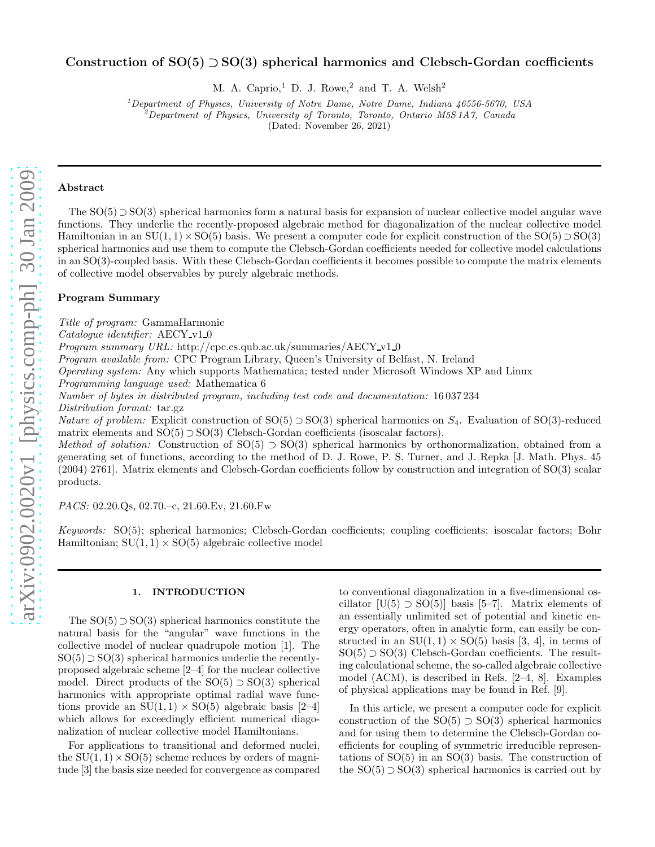# Construction of  $SO(5) \supset SO(3)$  spherical harmonics and Clebsch-Gordan coefficients

M. A. Caprio,<sup>1</sup> D. J. Rowe,<sup>2</sup> and T. A. Welsh<sup>2</sup>

<sup>1</sup>*Department of Physics, University of Notre Dame, Notre Dame, Indiana 46556-5670, USA*

<sup>2</sup>*Department of Physics, University of Toronto, Toronto, Ontario M5S 1A7, Canada*

(Dated: November 26, 2021)

# Abstract

The  $SO(5) \supset SO(3)$  spherical harmonics form a natural basis for expansion of nuclear collective model angular wave functions. They underlie the recently-proposed algebraic method for diagonalization of the nuclear collective model Hamiltonian in an  $SU(1, 1) \times SO(5)$  basis. We present a computer code for explicit construction of the  $SO(5) \supset SO(3)$ spherical harmonics and use them to compute the Clebsch-Gordan coefficients needed for collective model calculations in an SO(3)-coupled basis. With these Clebsch-Gordan coefficients it becomes possible to compute the matrix elements of collective model observables by purely algebraic methods.

# Program Summary

Title of program: GammaHarmonic

 $Catalogue$  identifier:  $AECY_v1_0$ 

Program summary URL: http://cpc.cs.qub.ac.uk/summaries/AECY\_v1\_0

Program available from: CPC Program Library, Queen's University of Belfast, N. Ireland

Operating system: Any which supports Mathematica; tested under Microsoft Windows XP and Linux

Programming language used: Mathematica 6

Number of bytes in distributed program, including test code and documentation: 16 037 234

Distribution format: tar.gz

Nature of problem: Explicit construction of  $SO(5) \supset SO(3)$  spherical harmonics on  $S_4$ . Evaluation of  $SO(3)$ -reduced matrix elements and  $SO(5) \supset SO(3)$  Clebsch-Gordan coefficients (isoscalar factors).

Method of solution: Construction of  $SO(5) \supset SO(3)$  spherical harmonics by orthonormalization, obtained from a generating set of functions, according to the method of D. J. Rowe, P. S. Turner, and J. Repka [J. Math. Phys. 45 (2004) 2761]. Matrix elements and Clebsch-Gordan coefficients follow by construction and integration of SO(3) scalar products.

PACS: 02.20.Qs, 02.70.–c, 21.60.Ev, 21.60.Fw

Keywords: SO(5); spherical harmonics; Clebsch-Gordan coefficients; coupling coefficients; isoscalar factors; Bohr Hamiltonian;  $SU(1,1) \times SO(5)$  algebraic collective model

## 1. INTRODUCTION

The  $SO(5) \supset SO(3)$  spherical harmonics constitute the natural basis for the "angular" wave functions in the collective model of nuclear quadrupole motion [1]. The  $SO(5) \supset SO(3)$  spherical harmonics underlie the recentlyproposed algebraic scheme [2–4] for the nuclear collective model. Direct products of the  $SO(5) \supset SO(3)$  spherical harmonics with appropriate optimal radial wave functions provide an  $SU(1,1) \times SO(5)$  algebraic basis [2–4] which allows for exceedingly efficient numerical diagonalization of nuclear collective model Hamiltonians.

For applications to transitional and deformed nuclei, the  $SU(1, 1) \times SO(5)$  scheme reduces by orders of magnitude [3] the basis size needed for convergence as compared

to conventional diagonalization in a five-dimensional oscillator  $[U(5) \supset SO(5)]$  basis [5–7]. Matrix elements of an essentially unlimited set of potential and kinetic energy operators, often in analytic form, can easily be constructed in an  $SU(1,1) \times SO(5)$  basis [3, 4], in terms of  $SO(5) \supset SO(3)$  Clebsch-Gordan coefficients. The resulting calculational scheme, the so-called algebraic collective model (ACM), is described in Refs. [2–4, 8]. Examples of physical applications may be found in Ref. [9].

In this article, we present a computer code for explicit construction of the  $SO(5) \supset SO(3)$  spherical harmonics and for using them to determine the Clebsch-Gordan coefficients for coupling of symmetric irreducible representations of  $SO(5)$  in an  $SO(3)$  basis. The construction of the  $SO(5) \supset SO(3)$  spherical harmonics is carried out by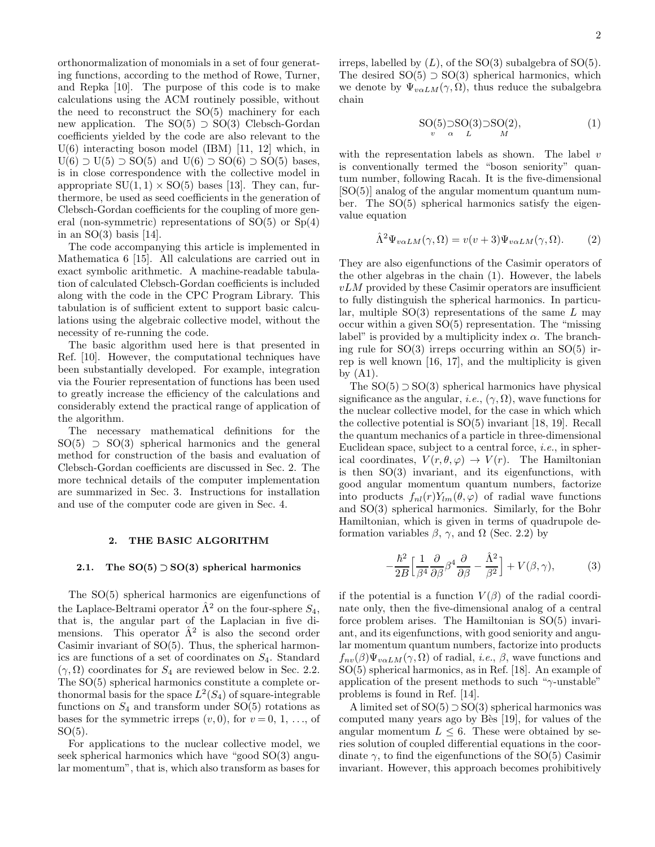orthonormalization of monomials in a set of four generating functions, according to the method of Rowe, Turner, and Repka [10]. The purpose of this code is to make calculations using the ACM routinely possible, without the need to reconstruct the SO(5) machinery for each new application. The  $SO(5) \supset SO(3)$  Clebsch-Gordan coefficients yielded by the code are also relevant to the U(6) interacting boson model (IBM) [11, 12] which, in  $U(6) \supset U(5) \supset SO(5)$  and  $U(6) \supset SO(6) \supset SO(5)$  bases. is in close correspondence with the collective model in appropriate  $SU(1, 1) \times SO(5)$  bases [13]. They can, furthermore, be used as seed coefficients in the generation of Clebsch-Gordan coefficients for the coupling of more general (non-symmetric) representations of SO(5) or Sp(4) in an  $SO(3)$  basis [14].

The code accompanying this article is implemented in Mathematica 6 [15]. All calculations are carried out in exact symbolic arithmetic. A machine-readable tabulation of calculated Clebsch-Gordan coefficients is included along with the code in the CPC Program Library. This tabulation is of sufficient extent to support basic calculations using the algebraic collective model, without the necessity of re-running the code.

The basic algorithm used here is that presented in Ref. [10]. However, the computational techniques have been substantially developed. For example, integration via the Fourier representation of functions has been used to greatly increase the efficiency of the calculations and considerably extend the practical range of application of the algorithm.

The necessary mathematical definitions for the  $SO(5)$   $\supset SO(3)$  spherical harmonics and the general method for construction of the basis and evaluation of Clebsch-Gordan coefficients are discussed in Sec. 2. The more technical details of the computer implementation are summarized in Sec. 3. Instructions for installation and use of the computer code are given in Sec. 4.

## 2. THE BASIC ALGORITHM

## 2.1. The  $SO(5) \supset SO(3)$  spherical harmonics

The SO(5) spherical harmonics are eigenfunctions of the Laplace-Beltrami operator  $\hat{\Lambda}^2$  on the four-sphere  $S_4$ , that is, the angular part of the Laplacian in five dimensions. This operator  $\hat{\Lambda}^2$  is also the second order Casimir invariant of SO(5). Thus, the spherical harmonics are functions of a set of coordinates on S4. Standard  $(\gamma, \Omega)$  coordinates for  $S_4$  are reviewed below in Sec. 2.2. The SO(5) spherical harmonics constitute a complete orthonormal basis for the space  $L^2(S_4)$  of square-integrable functions on  $S_4$  and transform under SO(5) rotations as bases for the symmetric irreps  $(v, 0)$ , for  $v = 0, 1, \ldots$ , of  $SO(5)$ .

For applications to the nuclear collective model, we seek spherical harmonics which have "good SO(3) angular momentum", that is, which also transform as bases for

irreps, labelled by  $(L)$ , of the SO(3) subalgebra of SO(5). The desired  $SO(5) \supset SO(3)$  spherical harmonics, which we denote by  $\Psi_{v\alpha LM}(\gamma, \Omega)$ , thus reduce the subalgebra chain

$$
SO(5) \sup_{\alpha} SO(3) \supset SO(2),
$$
  

$$
U
$$
 (1)

with the representation labels as shown. The label  $v$ is conventionally termed the "boson seniority" quantum number, following Racah. It is the five-dimensional [SO(5)] analog of the angular momentum quantum number. The SO(5) spherical harmonics satisfy the eigenvalue equation

$$
\hat{\Lambda}^2 \Psi_{v\alpha LM}(\gamma, \Omega) = v(v+3)\Psi_{v\alpha LM}(\gamma, \Omega). \tag{2}
$$

They are also eigenfunctions of the Casimir operators of the other algebras in the chain (1). However, the labels  $vLM$  provided by these Casimir operators are insufficient to fully distinguish the spherical harmonics. In particular, multiple  $SO(3)$  representations of the same L may occur within a given SO(5) representation. The "missing label" is provided by a multiplicity index  $\alpha$ . The branching rule for  $SO(3)$  irreps occurring within an  $SO(5)$  irrep is well known [16, 17], and the multiplicity is given by  $(A1)$ .

The  $SO(5) \supset SO(3)$  spherical harmonics have physical significance as the angular, *i.e.*,  $(\gamma, \Omega)$ , wave functions for the nuclear collective model, for the case in which which the collective potential is SO(5) invariant [18, 19]. Recall the quantum mechanics of a particle in three-dimensional Euclidean space, subject to a central force, i.e., in spherical coordinates,  $V(r, \theta, \varphi) \rightarrow V(r)$ . The Hamiltonian is then  $SO(3)$  invariant, and its eigenfunctions, with good angular momentum quantum numbers, factorize into products  $f_{nl}(r)Y_{lm}(\theta,\varphi)$  of radial wave functions and SO(3) spherical harmonics. Similarly, for the Bohr Hamiltonian, which is given in terms of quadrupole deformation variables  $\beta$ ,  $\gamma$ , and  $\Omega$  (Sec. 2.2) by

$$
-\frac{\hbar^2}{2B} \Big[ \frac{1}{\beta^4} \frac{\partial}{\partial \beta} \beta^4 \frac{\partial}{\partial \beta} - \frac{\hat{\Lambda}^2}{\beta^2} \Big] + V(\beta, \gamma), \tag{3}
$$

if the potential is a function  $V(\beta)$  of the radial coordinate only, then the five-dimensional analog of a central force problem arises. The Hamiltonian is SO(5) invariant, and its eigenfunctions, with good seniority and angular momentum quantum numbers, factorize into products  $f_{nv}(\beta)\Psi_{v\alpha LM}(\gamma,\Omega)$  of radial, *i.e.*,  $\beta$ , wave functions and SO(5) spherical harmonics, as in Ref. [18]. An example of application of the present methods to such " $\gamma$ -unstable" problems is found in Ref. [14].

A limited set of  $SO(5) \supset SO(3)$  spherical harmonics was computed many years ago by Bès [19], for values of the angular momentum  $L \leq 6$ . These were obtained by series solution of coupled differential equations in the coordinate  $\gamma$ , to find the eigenfunctions of the SO(5) Casimir invariant. However, this approach becomes prohibitively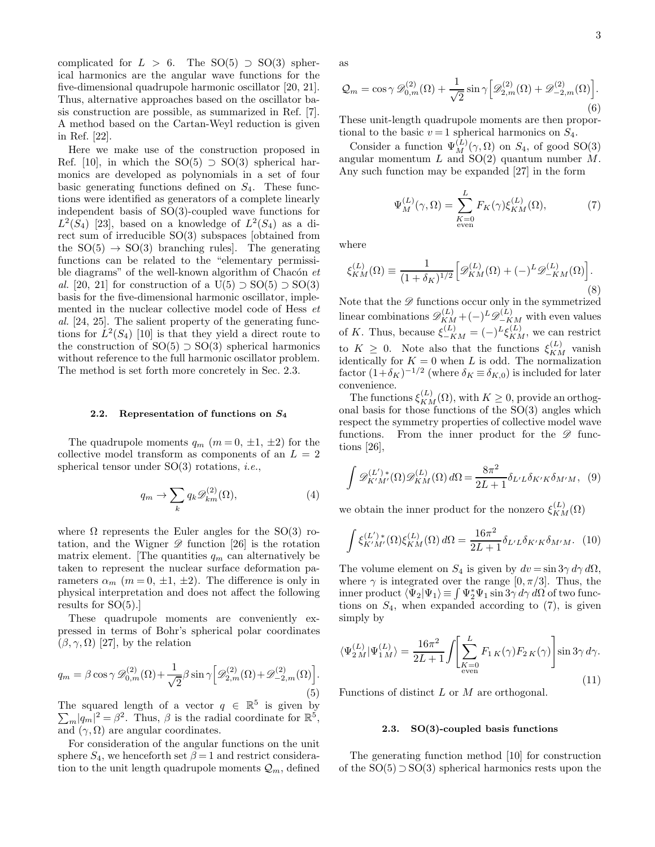complicated for  $L > 6$ . The SO(5)  $\supset$  SO(3) spherical harmonics are the angular wave functions for the five-dimensional quadrupole harmonic oscillator [20, 21]. Thus, alternative approaches based on the oscillator basis construction are possible, as summarized in Ref. [7]. A method based on the Cartan-Weyl reduction is given in Ref. [22].

Here we make use of the construction proposed in Ref. [10], in which the SO(5)  $\supset$  SO(3) spherical harmonics are developed as polynomials in a set of four basic generating functions defined on  $S_4$ . These functions were identified as generators of a complete linearly independent basis of SO(3)-coupled wave functions for  $L^2(S_4)$  [23], based on a knowledge of  $L^2(S_4)$  as a direct sum of irreducible SO(3) subspaces [obtained from the  $SO(5) \rightarrow SO(3)$  branching rules. The generating functions can be related to the "elementary permissible diagrams" of the well-known algorithm of Chacón  $et$ al. [20, 21] for construction of a U(5)  $\supset$  SO(5)  $\supset$  SO(3) basis for the five-dimensional harmonic oscillator, implemented in the nuclear collective model code of Hess et al. [24, 25]. The salient property of the generating functions for  $\hat{L}^2(S_4)$  [10] is that they yield a direct route to the construction of  $SO(5) \supset SO(3)$  spherical harmonics without reference to the full harmonic oscillator problem. The method is set forth more concretely in Sec. 2.3.

#### 2.2. Representation of functions on  $S_4$

The quadrupole moments  $q_m$   $(m = 0, \pm 1, \pm 2)$  for the collective model transform as components of an  $L = 2$ spherical tensor under  $SO(3)$  rotations, *i.e.*,

$$
q_m \to \sum_k q_k \mathscr{D}_{km}^{(2)}(\Omega),\tag{4}
$$

where  $\Omega$  represents the Euler angles for the SO(3) rotation, and the Wigner  $\mathscr{D}$  function [26] is the rotation matrix element. The quantities  $q_m$  can alternatively be taken to represent the nuclear surface deformation parameters  $\alpha_m$  ( $m = 0, \pm 1, \pm 2$ ). The difference is only in physical interpretation and does not affect the following results for  $SO(5)$ .

These quadrupole moments are conveniently expressed in terms of Bohr's spherical polar coordinates  $(\beta, \gamma, \Omega)$  [27], by the relation

$$
q_m = \beta \cos \gamma \mathcal{D}_{0,m}^{(2)}(\Omega) + \frac{1}{\sqrt{2}} \beta \sin \gamma \left[ \mathcal{D}_{2,m}^{(2)}(\Omega) + \mathcal{D}_{-2,m}^{(2)}(\Omega) \right].
$$
\n(5)

The squared length of a vector  $q \in \mathbb{R}^5$  is given by  $\sum_{m} |q_m|^2 = \beta^2$ . Thus,  $\beta$  is the radial coordinate for  $\mathbb{R}^5$ , and  $(\gamma, \Omega)$  are angular coordinates.

For consideration of the angular functions on the unit sphere  $S_4$ , we henceforth set  $\beta = 1$  and restrict consideration to the unit length quadrupole moments  $\mathcal{Q}_m$ , defined as

$$
\mathcal{Q}_m = \cos \gamma \mathcal{D}_{0,m}^{(2)}(\Omega) + \frac{1}{\sqrt{2}} \sin \gamma \left[ \mathcal{D}_{2,m}^{(2)}(\Omega) + \mathcal{D}_{-2,m}^{(2)}(\Omega) \right].
$$
\n(6)

These unit-length quadrupole moments are then proportional to the basic  $v = 1$  spherical harmonics on  $S_4$ .

Consider a function  $\Psi_M^{(L)}(\gamma, \Omega)$  on  $S_4$ , of good SO(3) angular momentum  $L$  and  $SO(2)$  quantum number  $M$ . Any such function may be expanded [27] in the form

$$
\Psi_M^{(L)}(\gamma,\Omega) = \sum_{\substack{K=0 \text{even}}}^L F_K(\gamma) \xi_{KM}^{(L)}(\Omega),\tag{7}
$$

where

$$
\xi_{KM}^{(L)}(\Omega) \equiv \frac{1}{(1+\delta_K)^{1/2}} \Big[ \mathcal{D}_{KM}^{(L)}(\Omega) + (-)^L \mathcal{D}_{-KM}^{(L)}(\Omega) \Big].
$$
\n(8)

Note that the  $\mathscr D$  functions occur only in the symmetrized linear combinations  $\mathscr{D}_{KM}^{(L)} + (-)^L \mathscr{D}_{-KM}^{(L)}$  with even values of K. Thus, because  $\xi_{-KM}^{(L)} = (-)^L \xi_{KM}^{(L)}$ , we can restrict to  $K \geq 0$ . Note also that the functions  $\xi_{KM}^{(L)}$  vanish identically for  $K = 0$  when L is odd. The normalization factor  $(1+\delta_K)^{-1/2}$  (where  $\delta_K \equiv \delta_{K,0}$ ) is included for later convenience.

The functions  $\xi_{KM}^{(L)}(\Omega)$ , with  $K \geq 0$ , provide an orthogonal basis for those functions of the  $SO(3)$  angles which respect the symmetry properties of collective model wave functions. From the inner product for the  $\mathscr D$  functions [26],

$$
\int \mathscr{D}_{K'M'}^{(L')^*}(\Omega)\mathscr{D}_{KM}^{(L)}(\Omega) d\Omega = \frac{8\pi^2}{2L+1} \delta_{L'L} \delta_{K'K} \delta_{M'M}, \tag{9}
$$

we obtain the inner product for the nonzero  $\xi_{KM}^{(L)}(\Omega)$ 

$$
\int \xi_{K'M'}^{(L')*}(\Omega)\xi_{KM}^{(L)}(\Omega) d\Omega = \frac{16\pi^2}{2L+1} \delta_{L'L} \delta_{K'K} \delta_{M'M}.
$$
 (10)

The volume element on  $S_4$  is given by  $dv = \sin 3\gamma d\gamma d\Omega$ , where  $\gamma$  is integrated over the range [0,  $\pi/3$ ]. Thus, the inner product  $\langle \Psi_2 | \Psi_1 \rangle \equiv \int \Psi_2^* \Psi_1 \sin 3\gamma \, d\gamma \, d\Omega$  of two functions on  $S_4$ , when expanded according to  $(7)$ , is given simply by

$$
\langle \Psi_{2\,M}^{(L)} | \Psi_{1\,M}^{(L)} \rangle = \frac{16\pi^2}{2L+1} \int \left[ \sum_{\substack{K=0 \text{even}}}^{L} F_{1\,K}(\gamma) F_{2\,K}(\gamma) \right] \sin 3\gamma \, d\gamma. \tag{11}
$$

Functions of distinct L or M are orthogonal.

# 2.3. SO(3)-coupled basis functions

The generating function method [10] for construction of the  $SO(5) \supset SO(3)$  spherical harmonics rests upon the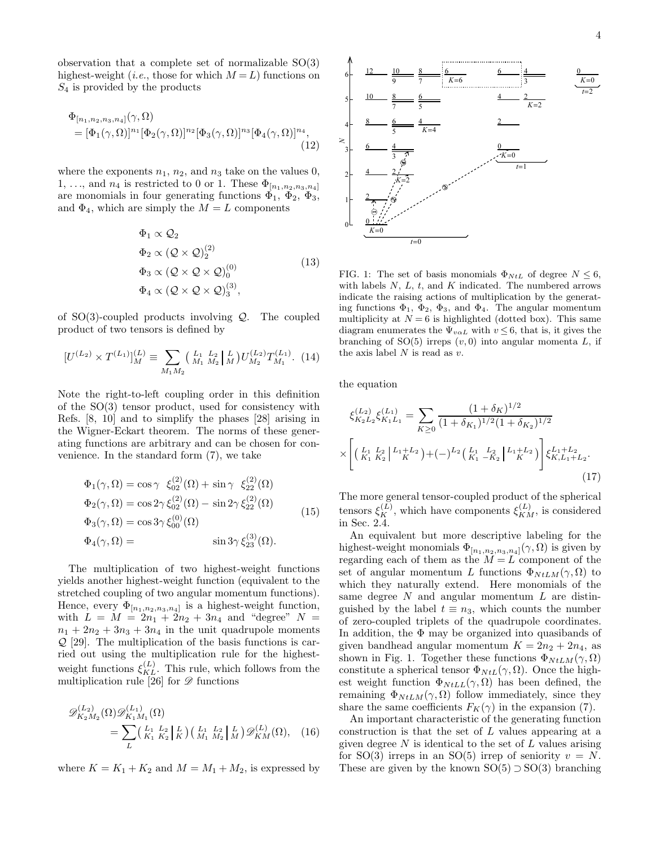observation that a complete set of normalizable SO(3) highest-weight (*i.e.*, those for which  $M = L$ ) functions on  $S_4$  is provided by the products

$$
\Phi_{[n_1, n_2, n_3, n_4]}(\gamma, \Omega)
$$
\n
$$
= [\Phi_1(\gamma, \Omega)]^{n_1} [\Phi_2(\gamma, \Omega)]^{n_2} [\Phi_3(\gamma, \Omega)]^{n_3} [\Phi_4(\gamma, \Omega)]^{n_4},
$$
\n(12)

where the exponents  $n_1$ ,  $n_2$ , and  $n_3$  take on the values 0, 1, ..., and  $n_4$  is restricted to 0 or 1. These  $\Phi_{[n_1,n_2,n_3,n_4]}$ are monomials in four generating functions  $\Phi_1$ ,  $\Phi_2$ ,  $\Phi_3$ , and  $\Phi_4$ , which are simply the  $M = L$  components

$$
\Phi_1 \propto \mathcal{Q}_2
$$
\n
$$
\Phi_2 \propto (\mathcal{Q} \times \mathcal{Q})_2^{(2)}
$$
\n
$$
\Phi_3 \propto (\mathcal{Q} \times \mathcal{Q} \times \mathcal{Q})_0^{(0)}
$$
\n
$$
\Phi_4 \propto (\mathcal{Q} \times \mathcal{Q} \times \mathcal{Q})_3^{(3)},
$$
\n(13)

of  $SO(3)$ -coupled products involving  $Q$ . The coupled product of two tensors is defined by

$$
[U^{(L_2)} \times T^{(L_1)}]_M^{(L)} \equiv \sum_{M_1 M_2} \left( \begin{array}{c} L_1 & L_2 \\ M_1 & M_2 \end{array} \right) \left( \begin{array}{c} L \\ M \end{array} \right) U_{M_2}^{(L_2)} T_{M_1}^{(L_1)}.\tag{14}
$$

Note the right-to-left coupling order in this definition of the SO(3) tensor product, used for consistency with Refs. [8, 10] and to simplify the phases [28] arising in the Wigner-Eckart theorem. The norms of these generating functions are arbitrary and can be chosen for convenience. In the standard form (7), we take

$$
\Phi_1(\gamma, \Omega) = \cos \gamma \xi_{02}^{(2)}(\Omega) + \sin \gamma \xi_{22}^{(2)}(\Omega)
$$
  
\n
$$
\Phi_2(\gamma, \Omega) = \cos 2\gamma \xi_{02}^{(2)}(\Omega) - \sin 2\gamma \xi_{22}^{(2)}(\Omega)
$$
  
\n
$$
\Phi_3(\gamma, \Omega) = \cos 3\gamma \xi_{00}^{(0)}(\Omega)
$$
  
\n
$$
\Phi_4(\gamma, \Omega) = \sin 3\gamma \xi_{23}^{(3)}(\Omega).
$$
\n(15)

The multiplication of two highest-weight functions yields another highest-weight function (equivalent to the stretched coupling of two angular momentum functions). Hence, every  $\Phi_{[n_1,n_2,n_3,n_4]}$  is a highest-weight function, with  $L = M = 2n_1 + 2n_2 + 3n_4$  and "degree"  $N =$  $n_1 + 2n_2 + 3n_3 + 3n_4$  in the unit quadrupole moments  $Q$  [29]. The multiplication of the basis functions is carried out using the multiplication rule for the highestweight functions  $\xi_{KL}^{(L)}$ . This rule, which follows from the multiplication rule [26] for  $\mathscr{D}$  functions

$$
\mathcal{D}_{K_2M_2}^{(L_2)}(\Omega)\mathcal{D}_{K_1M_1}^{(L_1)}(\Omega)
$$
  
= 
$$
\sum_{L} \left(\begin{array}{c} L_1 & L_2 \\ K_1 & K_2 \end{array} \right|_K^L \left(\begin{array}{c} L_1 & L_2 \\ M_1 & M_2 \end{array} \right|_M^L \left(\begin{array}{c} D \\ M_2 \end{array} \right) \mathcal{D}_{KM}^{(L)}(\Omega), \quad (16)
$$

where  $K = K_1 + K_2$  and  $M = M_1 + M_2$ , is expressed by



FIG. 1: The set of basis monomials  $\Phi_{NtL}$  of degree  $N \leq 6$ , with labels  $N$ ,  $L$ ,  $t$ , and  $K$  indicated. The numbered arrows indicate the raising actions of multiplication by the generating functions  $\Phi_1$ ,  $\Phi_2$ ,  $\Phi_3$ , and  $\Phi_4$ . The angular momentum multiplicity at  $N = 6$  is highlighted (dotted box). This same diagram enumerates the  $\Psi_{v\alpha L}$  with  $v \leq 6$ , that is, it gives the branching of  $SO(5)$  irreps  $(v, 0)$  into angular momenta L, if the axis label  $N$  is read as  $v$ .

the equation

$$
\xi_{K_2 L_2}^{(L_2)} \xi_{K_1 L_1}^{(L_1)} = \sum_{K \ge 0} \frac{(1 + \delta_K)^{1/2}}{(1 + \delta_{K_1})^{1/2} (1 + \delta_{K_2})^{1/2}} \times \left[ \left( \frac{L_1}{K_1} \frac{L_2}{K_2} \Big| \frac{L_1 + L_2}{K} \right) + (-)^{L_2} \left( \frac{L_1}{K_1} \frac{L_2}{K_2} \Big| \frac{L_1 + L_2}{K} \right) \right] \xi_{K, L_1 + L_2}^{L_1 + L_2}.
$$
\n(17)

The more general tensor-coupled product of the spherical tensors  $\xi_K^{(L)}$ , which have components  $\xi_{KM}^{(L)}$ , is considered in Sec. 2.4.

An equivalent but more descriptive labeling for the highest-weight monomials  $\Phi_{[n_1,n_2,n_3,n_4]}(\gamma,\Omega)$  is given by regarding each of them as the  $M = L$  component of the set of angular momentum L functions  $\Phi_{NtLM}(\gamma,\Omega)$  to which they naturally extend. Here monomials of the same degree  $N$  and angular momentum  $L$  are distinguished by the label  $t \equiv n_3$ , which counts the number of zero-coupled triplets of the quadrupole coordinates. In addition, the Φ may be organized into quasibands of given bandhead angular momentum  $K = 2n_2 + 2n_4$ , as shown in Fig. 1. Together these functions  $\Phi_{N tLM}(\gamma,\Omega)$ constitute a spherical tensor  $\Phi_{NtL}(\gamma,\Omega)$ . Once the highest weight function  $\Phi_{NtLL}(\gamma, \Omega)$  has been defined, the remaining  $\Phi_{NtLM}(\gamma,\Omega)$  follow immediately, since they share the same coefficients  $F_K(\gamma)$  in the expansion (7).

An important characteristic of the generating function construction is that the set of L values appearing at a given degree  $N$  is identical to the set of  $L$  values arising for  $SO(3)$  irreps in an  $SO(5)$  irrep of seniority  $v = N$ . These are given by the known  $SO(5) \supset SO(3)$  branching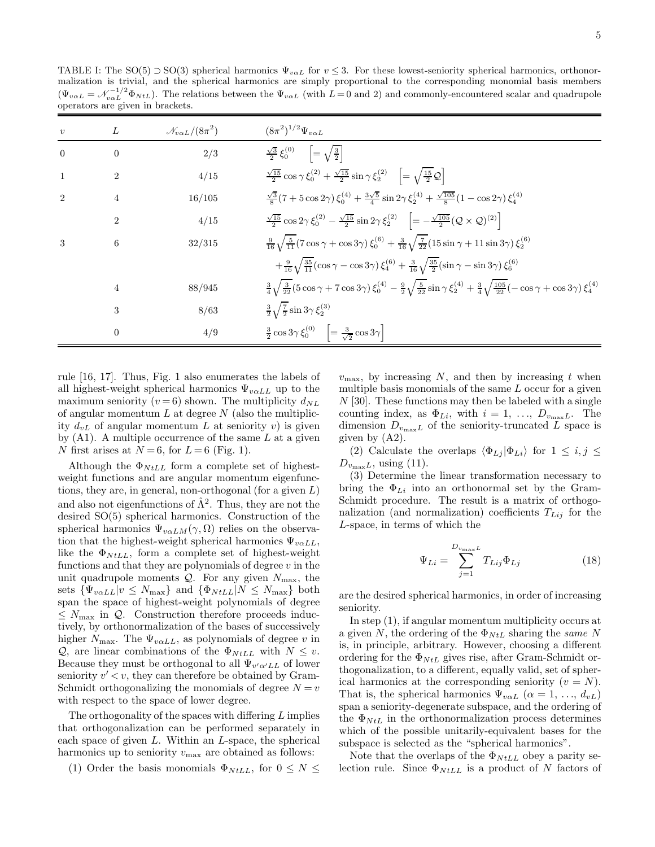TABLE I: The SO(5)  $\supset$  SO(3) spherical harmonics  $\Psi_{v\alpha}$  for  $v \leq 3$ . For these lowest-seniority spherical harmonics, orthonormalization is trivial, and the spherical harmonics are simply proportional to the corresponding monomial basis members  $(\Psi_{v\alpha L} = \mathcal{N}_{v\alpha L}^{-1/2} \Phi_{NtL})$ . The relations between the  $\Psi_{v\alpha L}$  (with  $L=0$  and 2) and commonly-encountered scalar and quadrupole operators are given in brackets.

| $\boldsymbol{v}$ | L              | $\mathcal{N}_{v \alpha L}/(8\pi^2)$ | $(8\pi^2)^{1/2}\Psi_{v\alpha L}$                                                                                                                                                                       |
|------------------|----------------|-------------------------------------|--------------------------------------------------------------------------------------------------------------------------------------------------------------------------------------------------------|
| $\overline{0}$   | $\overline{0}$ | 2/3                                 | $\frac{\sqrt{3}}{2} \xi_0^{(0)}$ = $\sqrt{\frac{3}{2}}$                                                                                                                                                |
| -1               | 2              | 4/15                                | $\frac{\sqrt{15}}{2} \cos \gamma \xi_0^{(2)} + \frac{\sqrt{15}}{2} \sin \gamma \xi_2^{(2)} \quad \left[ = \sqrt{\frac{15}{2} \mathcal{Q}} \right]$                                                     |
| $\overline{2}$   | 4              | 16/105                              | $\frac{\sqrt{3}}{8}(7+5\cos 2\gamma)\xi_0^{(4)}+\frac{3\sqrt{5}}{4}\sin 2\gamma\xi_2^{(4)}+\frac{\sqrt{105}}{8}(1-\cos 2\gamma)\xi_4^{(4)}$                                                            |
|                  | $\overline{2}$ | 4/15                                | $\frac{\sqrt{15}}{2}\cos 2\gamma \, \xi_0^{(2)} - \frac{\sqrt{15}}{2}\sin 2\gamma \, \xi_2^{(2)} \quad \left[ = -\frac{\sqrt{105}}{2}(\mathcal{Q}\times\mathcal{Q})^{(2)} \right]$                     |
| 3                | 6              | 32/315                              | $\frac{9}{16}\sqrt{\frac{5}{11}}(7\cos\gamma+\cos 3\gamma)\xi_0^{(6)}+\frac{3}{16}\sqrt{\frac{7}{22}}(15\sin\gamma+11\sin 3\gamma)\xi_2^{(6)}$                                                         |
|                  |                |                                     | $+\frac{9}{16}\sqrt{\frac{35}{11}}(\cos\gamma-\cos3\gamma)\xi_4^{(6)}+\frac{3}{16}\sqrt{\frac{35}{2}}(\sin\gamma-\sin3\gamma)\xi_6^{(6)}$                                                              |
|                  | 4              | 88/945                              | $\frac{3}{4}\sqrt{\frac{3}{22}(5\cos\gamma+7\cos 3\gamma)}\,\xi_0^{(4)}-\frac{9}{2}\sqrt{\frac{5}{22}}\sin\gamma\,\xi_2^{(4)}+\frac{3}{4}\sqrt{\frac{105}{22}}(-\cos\gamma+\cos 3\gamma)\,\xi_4^{(4)}$ |
|                  | 3              | 8/63                                | $\frac{3}{2}\sqrt{\frac{7}{2}}\sin 3\gamma \xi_2^{(3)}$                                                                                                                                                |
|                  | $\theta$       | 4/9                                 | $\frac{3}{2} \cos 3\gamma \xi_0^{(0)}$ = $\frac{3}{\sqrt{2}} \cos 3\gamma$                                                                                                                             |

rule [16, 17]. Thus, Fig. 1 also enumerates the labels of all highest-weight spherical harmonics  $\Psi_{\nu \alpha LL}$  up to the maximum seniority ( $v = 6$ ) shown. The multiplicity  $d_{NL}$ of angular momentum  $L$  at degree  $N$  (also the multiplicity  $d_{vL}$  of angular momentum L at seniority v) is given by  $(A1)$ . A multiple occurrence of the same L at a given N first arises at  $N = 6$ , for  $L = 6$  (Fig. 1).

Although the  $\Phi_{NtLL}$  form a complete set of highestweight functions and are angular momentum eigenfunctions, they are, in general, non-orthogonal (for a given  $L$ ) and also not eigenfunctions of  $\hat{\Lambda}^2$ . Thus, they are not the desired SO(5) spherical harmonics. Construction of the spherical harmonics  $\Psi_{v\alpha LM}(\gamma, \Omega)$  relies on the observation that the highest-weight spherical harmonics  $\Psi_{v\alpha LL}$ , like the  $\Phi_{NtLL}$ , form a complete set of highest-weight functions and that they are polynomials of degree  $v$  in the unit quadrupole moments  $Q$ . For any given  $N_{\text{max}}$ , the sets  $\{\Psi_{v\alpha LL}|v \leq N_{\text{max}}\}\$ and  $\{\Phi_{NtLL}|N \leq N_{\text{max}}\}\$ both span the space of highest-weight polynomials of degree  $\leq N_{\text{max}}$  in Q. Construction therefore proceeds inductively, by orthonormalization of the bases of successively higher  $N_{\text{max}}$ . The  $\Psi_{\text{val}}$ , as polynomials of degree v in  $\mathcal{Q}$ , are linear combinations of the  $\Phi_{NtLL}$  with  $N \leq v$ . Because they must be orthogonal to all  $\Psi_{v'\alpha'LL}$  of lower seniority  $v' < v$ , they can therefore be obtained by Gram-Schmidt orthogonalizing the monomials of degree  $N = v$ with respect to the space of lower degree.

The orthogonality of the spaces with differing  $L$  implies that orthogonalization can be performed separately in each space of given  $L$ . Within an  $L$ -space, the spherical harmonics up to seniority  $v_{\text{max}}$  are obtained as follows:

(1) Order the basis monomials  $\Phi_{NtLL}$ , for  $0 \leq N \leq$ 

 $v_{\text{max}}$ , by increasing N, and then by increasing t when multiple basis monomials of the same  $L$  occur for a given  $N$  [30]. These functions may then be labeled with a single counting index, as  $\Phi_{Li}$ , with  $i = 1, \ldots, D_{v_{\text{max}}L}$ . The dimension  $D_{v_{\text{max}}L}$  of the seniority-truncated L space is given by (A2).

(2) Calculate the overlaps  $\langle \Phi_{Lj} | \Phi_{Li} \rangle$  for  $1 \leq i, j \leq$  $D_{v_{\text{max}}L}$ , using (11).

(3) Determine the linear transformation necessary to bring the  $\Phi_{Li}$  into an orthonormal set by the Gram-Schmidt procedure. The result is a matrix of orthogonalization (and normalization) coefficients  $T_{Li}$  for the L-space, in terms of which the

$$
\Psi_{Li} = \sum_{j=1}^{D_{v_{\text{max}}}L} T_{Lij} \Phi_{Lj}
$$
\n(18)

are the desired spherical harmonics, in order of increasing seniority.

In step (1), if angular momentum multiplicity occurs at a given N, the ordering of the  $\Phi_{NtL}$  sharing the same N is, in principle, arbitrary. However, choosing a different ordering for the  $\Phi_{NtL}$  gives rise, after Gram-Schmidt orthogonalization, to a different, equally valid, set of spherical harmonics at the corresponding seniority  $(v = N)$ . That is, the spherical harmonics  $\Psi_{v\alpha L}$   $(\alpha = 1, ..., d_{vL})$ span a seniority-degenerate subspace, and the ordering of the  $\Phi_{NtL}$  in the orthonormalization process determines which of the possible unitarily-equivalent bases for the subspace is selected as the "spherical harmonics".

Note that the overlaps of the  $\Phi_{NtLL}$  obey a parity selection rule. Since  $\Phi_{NtLL}$  is a product of N factors of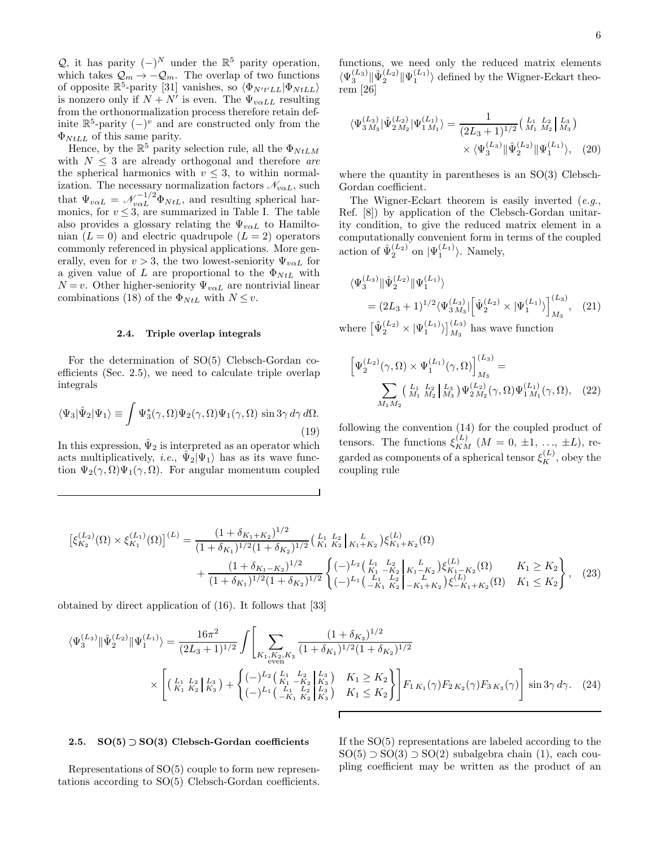6

Q, it has parity  $(-)^N$  under the  $\mathbb{R}^5$  parity operation, which takes  $\mathcal{Q}_m \to -\mathcal{Q}_m$ . The overlap of two functions of opposite  $\mathbb{R}^5$ -parity [31] vanishes, so  $\langle \Phi_{N't'LL} | \Phi_{NtLL} \rangle$ is nonzero only if  $N + N'$  is even. The  $\Psi_{\nu \alpha LL}$  resulting from the orthonormalization process therefore retain definite  $\mathbb{R}^5$ -parity  $(-)^v$  and are constructed only from the  $\Phi_{NtLL}$  of this same parity.

Hence, by the  $\mathbb{R}^5$  parity selection rule, all the  $\Phi_{NtLM}$ with  $N \leq 3$  are already orthogonal and therefore are the spherical harmonics with  $v \leq 3$ , to within normalization. The necessary normalization factors  $\mathcal{N}_{v \alpha L}$ , such that  $\Psi_{v\alpha L} = \mathcal{N}_{v\alpha L}^{-1/2} \Phi_{NtL}$ , and resulting spherical harmonics, for  $v \leq 3$ , are summarized in Table I. The table also provides a glossary relating the  $\Psi_{v\alpha L}$  to Hamiltonian  $(L = 0)$  and electric quadrupole  $(L = 2)$  operators commonly referenced in physical applications. More generally, even for  $v > 3$ , the two lowest-seniority  $\Psi_{v \alpha L}$  for a given value of L are proportional to the  $\Phi_{NtL}$  with  $N = v$ . Other higher-seniority  $\Psi_{v \alpha L}$  are nontrivial linear combinations (18) of the  $\Phi_{NtL}$  with  $N \leq v$ .

# 2.4. Triple overlap integrals

For the determination of SO(5) Clebsch-Gordan coefficients (Sec. 2.5), we need to calculate triple overlap integrals

$$
\langle \Psi_3 | \hat{\Psi}_2 | \Psi_1 \rangle \equiv \int \Psi_3^*(\gamma, \Omega) \Psi_2(\gamma, \Omega) \Psi_1(\gamma, \Omega) \sin 3\gamma \, d\gamma \, d\Omega. \tag{19}
$$

In this expression,  $\hat{\Psi}_2$  is interpreted as an operator which acts multiplicatively, *i.e.*,  $\hat{\Psi}_2|\Psi_1\rangle$  has as its wave function  $\Psi_2(\gamma,\Omega)\Psi_1(\gamma,\Omega)$ . For angular momentum coupled

functions, we need only the reduced matrix elements  $\langle \Psi_3^{(L_3)} \| \hat{\Psi}_2^{(L_2)} \| \Psi_1^{(L_1)} \rangle$  defined by the Wigner-Eckart theorem [26]

$$
\langle \Psi_{3 M_3}^{(L_3)} | \hat{\Psi}_{2 M_2}^{(L_2)} | \Psi_{1 M_1}^{(L_1)} \rangle = \frac{1}{(2L_3 + 1)^{1/2}} \left( \begin{array}{cc} L_1 & L_2 \\ M_1 & M_2 \end{array} \right) \times \langle \Psi_{3}^{(L_3)} | | \hat{\Psi}_{2}^{(L_2)} | | \Psi_{1}^{(L_1)} \rangle, \tag{20}
$$

where the quantity in parentheses is an SO(3) Clebsch-Gordan coefficient.

The Wigner-Eckart theorem is easily inverted  $(e.g.,)$ Ref. [8]) by application of the Clebsch-Gordan unitarity condition, to give the reduced matrix element in a computationally convenient form in terms of the coupled action of  $\hat{\Psi}_2^{(L_2)}$  on  $|\Psi_1^{(L_1)}\rangle$ . Namely,

$$
\langle \Psi_3^{(L_3)} \| \hat{\Psi}_2^{(L_2)} \| \Psi_1^{(L_1)} \rangle
$$
  
=  $(2L_3 + 1)^{1/2} \langle \Psi_{3 M_3}^{(L_3)} | \left[ \hat{\Psi}_2^{(L_2)} \times | \Psi_1^{(L_1)} \rangle \right]_{M_3}^{(L_3)}$ , (21)

where  $\left[\hat{\Psi}_2^{(L_2)} \times |\Psi_1^{(L_1)}\rangle\right]_{M_3}^{(L_3)}$  has wave function

$$
\left[\Psi_2^{(L_2)}(\gamma,\Omega)\times\Psi_1^{(L_1)}(\gamma,\Omega)\right]_{M_3}^{(L_3)} = \sum_{M_1 M_2} \left(\begin{array}{c} I_1 & I_2 \\ M_1 & M_2 \end{array}\right) \Psi_2^{(L_2)}(\gamma,\Omega)\Psi_1^{(L_1)}(\gamma,\Omega), \quad (22)
$$

following the convention (14) for the coupled product of tensors. The functions  $\xi_{KM}^{(L)}$   $(M = 0, \pm 1, ..., \pm L)$ , regarded as components of a spherical tensor  $\xi_K^{(L)}$ , obey the coupling rule

$$
\begin{split} \left[\xi_{K_{2}}^{(L_{2})}(\Omega) \times \xi_{K_{1}}^{(L_{1})}(\Omega)\right]^{(L)} &= \frac{\left(1 + \delta_{K_{1}+K_{2}}\right)^{1/2}}{\left(1 + \delta_{K_{1}}\right)^{1/2}\left(1 + \delta_{K_{2}}\right)^{1/2}} \left(\begin{array}{c} L_{1} & L_{2} \\ K_{1} & K_{2} \end{array}\right)_{K_{1}+K_{2}} \left(\begin{array}{c} L_{1} \\ K_{1} + K_{2} \end{array}\right) \xi_{K_{1}+K_{2}}^{(L)}(\Omega) \\ &+ \frac{\left(1 + \delta_{K_{1}-K_{2}}\right)^{1/2}}{\left(1 + \delta_{K_{1}}\right)^{1/2}\left(1 + \delta_{K_{2}}\right)^{1/2}} \left\{ \begin{array}{c} \left(-\right)^{L_{2} \left(\begin{array}{c} L_{1} & L_{2} \\ K_{1} - K_{2} \end{array}\right)_{K_{1}+K_{2}} \left(\begin{array}{c} L_{1} \\ K_{1} - K_{2} \end{array}\right) \xi_{K_{1}+K_{2}}^{(L)}(\Omega) \right\} & K_{1} \geq K_{2} \\ &+ \left(1 + \delta_{K_{1}}\right)^{1/2}\left(1 + \delta_{K_{2}}\right)^{1/2} \left(-\right)^{L_{1} \left(\begin{array}{c} L_{1} \\ -K_{1} \end{array}\right)_{K_{2}} \left(-\right)^{L_{1} \left(\begin{array}{c} L_{1} \\ -K_{1} + K_{2} \end{array}\right) \xi_{-K_{1}+K_{2}}^{(L)}(\Omega) \right)} & K_{1} \leq K_{2} \end{split} \right\}, \tag{23}
$$

obtained by direct application of (16). It follows that [33]

$$
\langle \Psi_{3}^{(L_{3})} \| \hat{\Psi}_{2}^{(L_{2})} \| \Psi_{1}^{(L_{1})} \rangle = \frac{16\pi^{2}}{(2L_{3}+1)^{1/2}} \int \left[ \sum_{\substack{K_{1}, K_{2}, K_{3} \\ \text{even}}} \frac{(1+\delta_{K_{3}})^{1/2}}{(1+\delta_{K_{1}})^{1/2}(1+\delta_{K_{2}})^{1/2}} \right] \times \left[ \left( \frac{L_{1}}{K_{1}} \frac{L_{2}}{K_{2}} \Big| \frac{L_{3}}{K_{3}} \right) + \left( \frac{(-)^{L_{2}} \left( \frac{L_{1}}{K_{1}} - \frac{L_{2}}{K_{2}} \Big| \frac{L_{3}}{K_{3}} \right)}{(-)^{L_{1}} \left( \frac{L_{1}}{-K_{1}} \frac{L_{2}}{K_{2}} \Big| \frac{L_{3}}{K_{3}} \right)} \right) K_{1} \leq K_{2} \right] F_{1} K_{1}(\gamma) F_{2} K_{2}(\gamma) F_{3} K_{3}(\gamma) \right] \sin 3\gamma \, d\gamma. \tag{24}
$$

## 2.5. SO(5) ⊃ SO(3) Clebsch-Gordan coefficients

Representations of SO(5) couple to form new representations according to SO(5) Clebsch-Gordan coefficients. If the SO(5) representations are labeled according to the  $SO(5) \supset SO(3) \supset SO(2)$  subalgebra chain (1), each coupling coefficient may be written as the product of an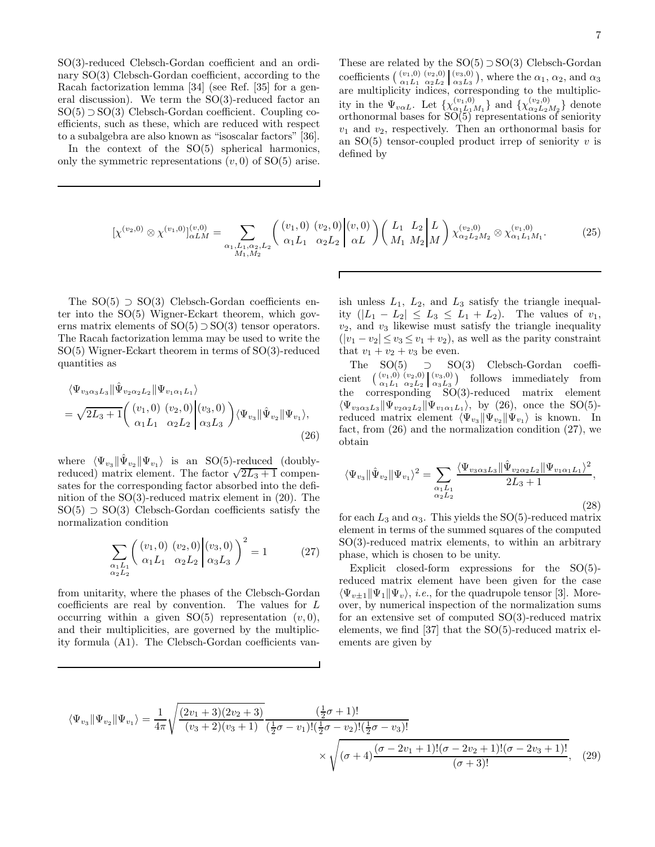SO(3)-reduced Clebsch-Gordan coefficient and an ordinary SO(3) Clebsch-Gordan coefficient, according to the Racah factorization lemma [34] (see Ref. [35] for a general discussion). We term the SO(3)-reduced factor an  $SO(5) \supset SO(3)$  Clebsch-Gordan coefficient. Coupling coefficients, such as these, which are reduced with respect to a subalgebra are also known as "isoscalar factors" [36].

In the context of the SO(5) spherical harmonics, only the symmetric representations  $(v, 0)$  of  $SO(5)$  arise.

These are related by the  $SO(5) \supset SO(3)$  Clebsch-Gordan coefficients  $\begin{pmatrix} (v_1, 0) & (v_2, 0) \\ \alpha_1 L_1 & \alpha_2 L_2 \end{pmatrix} \begin{pmatrix} v_3, 0 \\ \alpha_3 L_3 \end{pmatrix}$ , where the  $\alpha_1, \alpha_2$ , and  $\alpha_3$ are multiplicity indices, corresponding to the multiplicity in the  $\Psi_{v\alpha L}$ . Let  $\{\chi^{(v_1,0)}_{\alpha_1 L_1}$  $\{\chi^{(v_1,0)}_{\alpha_1 \underline{L}_1 M_1}\}$  and  $\{\chi^{(v_2,0)}_{\alpha_2 \underline{L}_2}\}$  $\binom{(v_2,0)}{\alpha_2 L_2 M_2}$  denote orthonormal bases for SO(5) representations of seniority  $v_1$  and  $v_2$ , respectively. Then an orthonormal basis for an  $SO(5)$  tensor-coupled product irrep of seniority v is defined by

$$
\left[\chi^{(v_2,0)}\otimes\chi^{(v_1,0)}\right]_{\alpha LM}^{(v,0)} = \sum_{\alpha_1,L_1,\alpha_2,L_2} \left( \begin{array}{c} (v_1,0) \ (v_2,0) \ (v,0) \ (v_1,0) \ (v,0) \end{array} \right) \left( \begin{array}{cc} L_1 & L_2 \\ M_1 & M_2 \end{array} \right) \chi^{(v_2,0)}_{\alpha_2 L_2 M_2} \otimes \chi^{(v_1,0)}_{\alpha_1 L_1 M_1}.\tag{25}
$$

 $\Gamma$ 

The  $SO(5) \supset SO(3)$  Clebsch-Gordan coefficients enter into the SO(5) Wigner-Eckart theorem, which governs matrix elements of  $SO(5) \supset SO(3)$  tensor operators. The Racah factorization lemma may be used to write the SO(5) Wigner-Eckart theorem in terms of SO(3)-reduced quantities as

$$
\langle \Psi_{v_3 \alpha_3 L_3} \| \hat{\Psi}_{v_2 \alpha_2 L_2} \| \Psi_{v_1 \alpha_1 L_1} \rangle = \sqrt{2L_3 + 1} \left( \begin{array}{cc} (v_1, 0) & (v_2, 0) \\ \alpha_1 L_1 & \alpha_2 L_2 \end{array} \middle| \alpha_3 L_3 \right) \langle \Psi_{v_3} \| \hat{\Psi}_{v_2} \| \Psi_{v_1} \rangle,
$$
\n(26)

where  $\langle \Psi_{v_3} || \hat{\Psi}_{v_2} || \Psi_{v_1} \rangle$  is an SO(5)-reduced (doublyreduced) matrix element. The factor  $\sqrt{2L_3+1}$  compensates for the corresponding factor absorbed into the definition of the SO(3)-reduced matrix element in (20). The  $SO(5)$  ⊃  $SO(3)$  Clebsch-Gordan coefficients satisfy the normalization condition

$$
\sum_{\substack{\alpha_1 L_1 \\ \alpha_2 L_2}} \left( \begin{array}{cc} (v_1, 0) & (v_2, 0) \\ \alpha_1 L_1 & \alpha_2 L_2 \end{array} \middle| \begin{array}{cc} (v_3, 0) \\ \alpha_3 L_3 \end{array} \right)^2 = 1 \tag{27}
$$

from unitarity, where the phases of the Clebsch-Gordan coefficients are real by convention. The values for L occurring within a given  $SO(5)$  representation  $(v, 0)$ , and their multiplicities, are governed by the multiplicity formula (A1). The Clebsch-Gordan coefficients vanish unless  $L_1$ ,  $L_2$ , and  $L_3$  satisfy the triangle inequality  $(|L_1 - L_2| \le L_3 \le L_1 + L_2)$ . The values of  $v_1$ ,  $v_2$ , and  $v_3$  likewise must satisfy the triangle inequality  $(|v_1 - v_2| \le v_3 \le v_1 + v_2)$ , as well as the parity constraint that  $v_1 + v_2 + v_3$  be even.

The SO(5) ⊃ SO(3) Clebsch-Gordan coefficient  $(v_1,0)$   $(v_2,0)$   $(v_3,0)$  $\begin{bmatrix} (v_1, 0) & (v_2, 0) \\ \alpha_1 L_1 & \alpha_2 L_2 \end{bmatrix} \begin{bmatrix} (v_3, 0) \\ \alpha_3 L_3 \end{bmatrix}$ follows immediately from the corresponding  $SO(3)$ -reduced matrix element  $\langle \Psi_{v_3 \alpha_3 L_3} | \Psi_{v_2 \alpha_2 L_2} | \Psi_{v_1 \alpha_1 L_1} \rangle$ , by (26), once the SO(5)reduced matrix element  $\langle \Psi_{v_3} \Vert \Psi_{v_2} \Vert \Psi_{v_1} \rangle$  is known. In fact, from (26) and the normalization condition (27), we obtain

$$
\langle \Psi_{v_3} \| \hat{\Psi}_{v_2} \| \Psi_{v_1} \rangle^2 = \sum_{\substack{\alpha_1 L_1 \\ \alpha_2 L_2}} \frac{\langle \Psi_{v_3 \alpha_3 L_3} \| \hat{\Psi}_{v_2 \alpha_2 L_2} \| \Psi_{v_1 \alpha_1 L_1} \rangle^2}{2L_3 + 1},
$$
\n(28)

for each  $L_3$  and  $\alpha_3$ . This yields the SO(5)-reduced matrix element in terms of the summed squares of the computed SO(3)-reduced matrix elements, to within an arbitrary phase, which is chosen to be unity.

Explicit closed-form expressions for the SO(5) reduced matrix element have been given for the case  $\langle \Psi_{v\pm1} | \Psi_1 | \Psi_v \rangle$ , *i.e.*, for the quadrupole tensor [3]. Moreover, by numerical inspection of the normalization sums for an extensive set of computed SO(3)-reduced matrix elements, we find [37] that the SO(5)-reduced matrix elements are given by

$$
\langle \Psi_{v_3} \| \Psi_{v_2} \| \Psi_{v_1} \rangle = \frac{1}{4\pi} \sqrt{\frac{(2v_1 + 3)(2v_2 + 3)}{(v_3 + 2)(v_3 + 1)}} \frac{(\frac{1}{2}\sigma + 1)!}{(\frac{1}{2}\sigma - v_1)!(\frac{1}{2}\sigma - v_2)!(\frac{1}{2}\sigma - v_3)!} \times \sqrt{(\sigma + 4) \frac{(\sigma - 2v_1 + 1)!(\sigma - 2v_2 + 1)!(\sigma - 2v_3 + 1)!}{(\sigma + 3)!}},
$$
(29)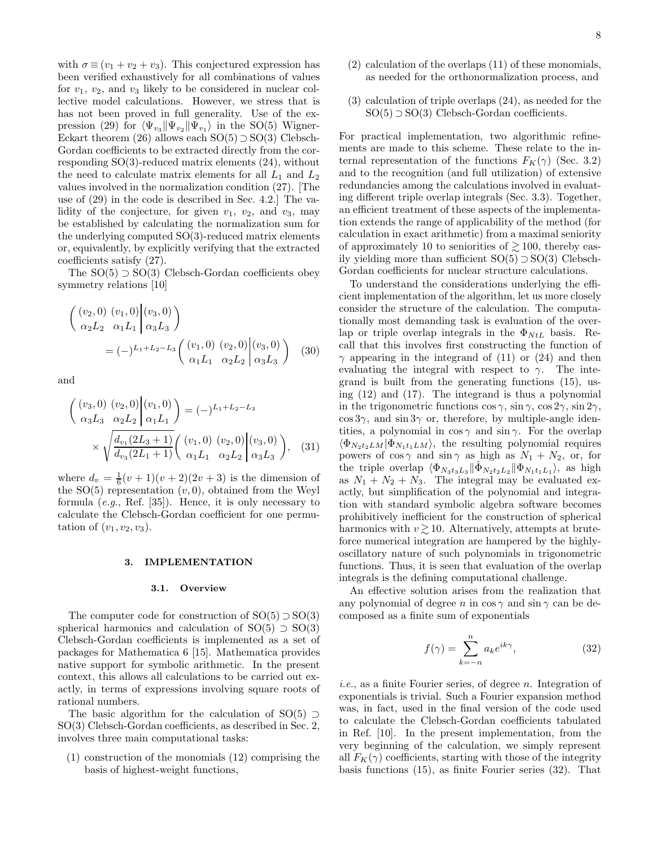with  $\sigma \equiv (v_1 + v_2 + v_3)$ . This conjectured expression has been verified exhaustively for all combinations of values for  $v_1$ ,  $v_2$ , and  $v_3$  likely to be considered in nuclear collective model calculations. However, we stress that is has not been proved in full generality. Use of the expression (29) for  $\langle \Psi_{v_3} \Vert \Psi_{v_2} \Vert \Psi_{v_1} \rangle$  in the SO(5) Wigner-Eckart theorem (26) allows each  $SO(5) \supset SO(3)$  Clebsch-Gordan coefficients to be extracted directly from the corresponding SO(3)-reduced matrix elements (24), without the need to calculate matrix elements for all  $L_1$  and  $L_2$ values involved in the normalization condition (27). [The use of (29) in the code is described in Sec. 4.2.] The validity of the conjecture, for given  $v_1$ ,  $v_2$ , and  $v_3$ , may be established by calculating the normalization sum for the underlying computed SO(3)-reduced matrix elements or, equivalently, by explicitly verifying that the extracted coefficients satisfy (27).

The  $SO(5) \supset SO(3)$  Clebsch-Gordan coefficients obey symmetry relations [10]

$$
\begin{pmatrix}\n(v_2,0) & (v_1,0) & (v_3,0) \\
\alpha_2 L_2 & \alpha_1 L_1 & \alpha_3 L_3\n\end{pmatrix}
$$
\n
$$
= (-)^{L_1 + L_2 - L_3} \begin{pmatrix}\n(v_1,0) & (v_2,0) & (v_3,0) \\
\alpha_1 L_1 & \alpha_2 L_2 & \alpha_3 L_3\n\end{pmatrix}
$$
\n(30)

and

$$
\begin{pmatrix}\n(v_3, 0) & (v_2, 0) & (v_1, 0) \\
\alpha_3 L_3 & \alpha_2 L_2 & \alpha_1 L_1\n\end{pmatrix} = (-)^{L_1 + L_2 - L_3}
$$
\n
$$
\times \sqrt{\frac{d_{v_1}(2L_3 + 1)}{d_{v_3}(2L_1 + 1)}} \begin{pmatrix}\n(v_1, 0) & (v_2, 0) & (v_3, 0) \\
\alpha_1 L_1 & \alpha_2 L_2 & \alpha_3 L_3\n\end{pmatrix},
$$
\n(31)

where  $d_v = \frac{1}{6}(v+1)(v+2)(2v+3)$  is the dimension of the  $SO(5)$  representation  $(v, 0)$ , obtained from the Weyl formula (e.g., Ref. [35]). Hence, it is only necessary to calculate the Clebsch-Gordan coefficient for one permutation of  $(v_1, v_2, v_3)$ .

#### 3. IMPLEMENTATION

#### 3.1. Overview

The computer code for construction of  $SO(5) \supset SO(3)$ spherical harmonics and calculation of  $SO(5) \supset SO(3)$ Clebsch-Gordan coefficients is implemented as a set of packages for Mathematica 6 [15]. Mathematica provides native support for symbolic arithmetic. In the present context, this allows all calculations to be carried out exactly, in terms of expressions involving square roots of rational numbers.

The basic algorithm for the calculation of SO(5) ⊃ SO(3) Clebsch-Gordan coefficients, as described in Sec. 2, involves three main computational tasks:

(1) construction of the monomials (12) comprising the basis of highest-weight functions,

- (2) calculation of the overlaps (11) of these monomials, as needed for the orthonormalization process, and
- (3) calculation of triple overlaps (24), as needed for the  $SO(5)$  ⊃  $SO(3)$  Clebsch-Gordan coefficients.

For practical implementation, two algorithmic refinements are made to this scheme. These relate to the internal representation of the functions  $F_K(\gamma)$  (Sec. 3.2) and to the recognition (and full utilization) of extensive redundancies among the calculations involved in evaluating different triple overlap integrals (Sec. 3.3). Together, an efficient treatment of these aspects of the implementation extends the range of applicability of the method (for calculation in exact arithmetic) from a maximal seniority of approximately 10 to seniorities of  $\gtrsim$  100, thereby easily yielding more than sufficient SO(5) ⊃ SO(3) Clebsch-Gordan coefficients for nuclear structure calculations.

To understand the considerations underlying the efficient implementation of the algorithm, let us more closely consider the structure of the calculation. The computationally most demanding task is evaluation of the overlap or triple overlap integrals in the  $\Phi_{NtL}$  basis. Recall that this involves first constructing the function of  $\gamma$  appearing in the integrand of (11) or (24) and then evaluating the integral with respect to  $\gamma$ . The integrand is built from the generating functions (15), using (12) and (17). The integrand is thus a polynomial in the trigonometric functions  $\cos \gamma$ ,  $\sin \gamma$ ,  $\cos 2\gamma$ ,  $\sin 2\gamma$ ,  $\cos 3\gamma$ , and  $\sin 3\gamma$  or, therefore, by multiple-angle identities, a polynomial in  $\cos \gamma$  and  $\sin \gamma$ . For the overlap  $\langle \Phi_{N_2t_2LM} | \Phi_{N_1t_1LM} \rangle$ , the resulting polynomial requires powers of  $\cos \gamma$  and  $\sin \gamma$  as high as  $N_1 + N_2$ , or, for the triple overlap  $\langle \Phi_{N_3t_3L_3} | \hat{\Phi}_{N_2t_2L_2} | \Phi_{N_1t_1L_1} \rangle$ , as high as  $N_1 + N_2 + N_3$ . The integral may be evaluated exactly, but simplification of the polynomial and integration with standard symbolic algebra software becomes prohibitively inefficient for the construction of spherical harmonics with  $v \gtrsim 10$ . Alternatively, attempts at bruteforce numerical integration are hampered by the highlyoscillatory nature of such polynomials in trigonometric functions. Thus, it is seen that evaluation of the overlap integrals is the defining computational challenge.

An effective solution arises from the realization that any polynomial of degree n in  $\cos \gamma$  and  $\sin \gamma$  can be decomposed as a finite sum of exponentials

$$
f(\gamma) = \sum_{k=-n}^{n} a_k e^{ik\gamma},
$$
 (32)

i.e., as a finite Fourier series, of degree n. Integration of exponentials is trivial. Such a Fourier expansion method was, in fact, used in the final version of the code used to calculate the Clebsch-Gordan coefficients tabulated in Ref. [10]. In the present implementation, from the very beginning of the calculation, we simply represent all  $F_K(\gamma)$  coefficients, starting with those of the integrity basis functions (15), as finite Fourier series (32). That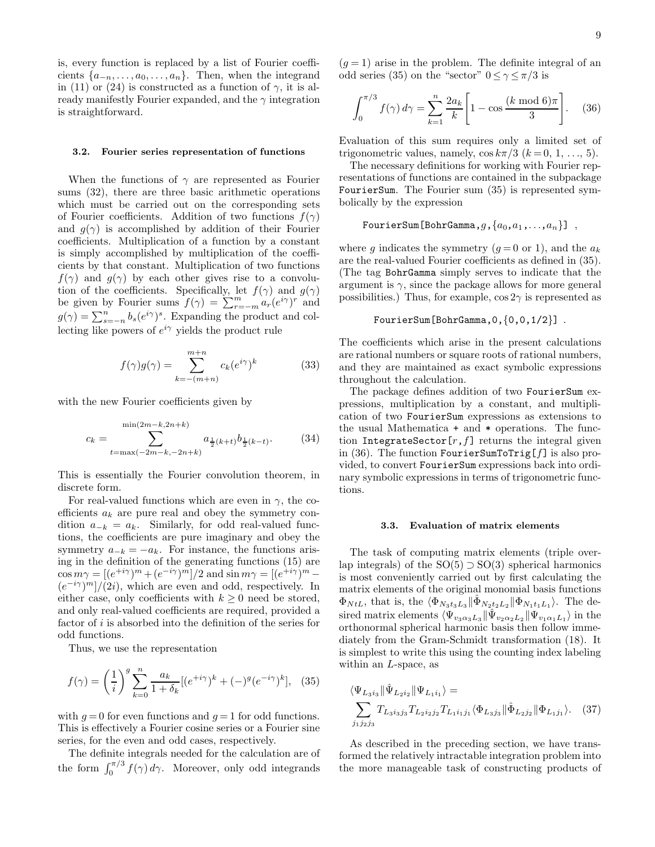is, every function is replaced by a list of Fourier coefficients  $\{a_{-n}, \ldots, a_0, \ldots, a_n\}$ . Then, when the integrand in (11) or (24) is constructed as a function of  $\gamma$ , it is already manifestly Fourier expanded, and the  $\gamma$  integration is straightforward.

## 3.2. Fourier series representation of functions

When the functions of  $\gamma$  are represented as Fourier sums (32), there are three basic arithmetic operations which must be carried out on the corresponding sets of Fourier coefficients. Addition of two functions  $f(\gamma)$ and  $g(\gamma)$  is accomplished by addition of their Fourier coefficients. Multiplication of a function by a constant is simply accomplished by multiplication of the coefficients by that constant. Multiplication of two functions  $f(\gamma)$  and  $g(\gamma)$  by each other gives rise to a convolution of the coefficients. Specifically, let  $f(\gamma)$  and  $g(\gamma)$ be given by Fourier sums  $f(\gamma) = \sum_{r=-m}^{m} a_r (e^{i\gamma})^r$  and  $g(\gamma) = \sum_{s=-n}^{n} b_s (e^{i\gamma})^s$ . Expanding the product and collecting like powers of  $e^{i\gamma}$  yields the product rule

$$
f(\gamma)g(\gamma) = \sum_{k=-(m+n)}^{m+n} c_k (e^{i\gamma})^k
$$
 (33)

with the new Fourier coefficients given by

$$
c_k = \sum_{t=\max(-2m-k, -2n+k)}^{\min(2m-k, 2n+k)} a_{\frac{1}{2}(k+t)} b_{\frac{1}{2}(k-t)}.
$$
 (34)

This is essentially the Fourier convolution theorem, in discrete form.

For real-valued functions which are even in  $\gamma$ , the coefficients  $a_k$  are pure real and obey the symmetry condition  $a_{-k} = a_k$ . Similarly, for odd real-valued functions, the coefficients are pure imaginary and obey the symmetry  $a_{-k} = -a_k$ . For instance, the functions arising in the definition of the generating functions (15) are  $\cos m\gamma = [(e^{+i\gamma})^m + (e^{-i\gamma})^m]/2$  and  $\sin m\gamma = [(e^{+i\gamma})^m (e^{-i\gamma})^m]/(2i)$ , which are even and odd, respectively. In either case, only coefficients with  $k \geq 0$  need be stored, and only real-valued coefficients are required, provided a factor of  $i$  is absorbed into the definition of the series for odd functions.

Thus, we use the representation

$$
f(\gamma) = \left(\frac{1}{i}\right)^g \sum_{k=0}^n \frac{a_k}{1 + \delta_k} [(e^{+i\gamma})^k + (-)^g (e^{-i\gamma})^k], \quad (35)
$$

with  $g = 0$  for even functions and  $g = 1$  for odd functions. This is effectively a Fourier cosine series or a Fourier sine series, for the even and odd cases, respectively.

The definite integrals needed for the calculation are of the form  $\int_0^{\pi/3} f(\gamma) d\gamma$ . Moreover, only odd integrands

 $(g = 1)$  arise in the problem. The definite integral of an odd series (35) on the "sector"  $0 \le \gamma \le \pi/3$  is

$$
\int_0^{\pi/3} f(\gamma) d\gamma = \sum_{k=1}^n \frac{2a_k}{k} \left[ 1 - \cos \frac{(k \mod 6)\pi}{3} \right].
$$
 (36)

Evaluation of this sum requires only a limited set of trigonometric values, namely,  $\cos k\pi/3$   $(k = 0, 1, ..., 5)$ .

The necessary definitions for working with Fourier representations of functions are contained in the subpackage FourierSum. The Fourier sum (35) is represented symbolically by the expression

```
FourierSum[BohrGamma, g, \{a_0, a_1, \ldots, a_n\}],
```
where g indicates the symmetry  $(q = 0 \text{ or } 1)$ , and the  $a_k$ are the real-valued Fourier coefficients as defined in (35). (The tag BohrGamma simply serves to indicate that the argument is  $\gamma$ , since the package allows for more general possibilities.) Thus, for example,  $\cos 2\gamma$  is represented as

```
FourierSum[BohrGamma,0,{0,0,1/2}] .
```
The coefficients which arise in the present calculations are rational numbers or square roots of rational numbers, and they are maintained as exact symbolic expressions throughout the calculation.

The package defines addition of two FourierSum expressions, multiplication by a constant, and multiplication of two FourierSum expressions as extensions to the usual Mathematica + and \* operations. The function IntegrateSector $[r, f]$  returns the integral given in (36). The function FourierSumToTrig[ $f$ ] is also provided, to convert FourierSum expressions back into ordinary symbolic expressions in terms of trigonometric functions.

## 3.3. Evaluation of matrix elements

The task of computing matrix elements (triple overlap integrals) of the  $SO(5) \supset SO(3)$  spherical harmonics is most conveniently carried out by first calculating the matrix elements of the original monomial basis functions  $\Phi_{NtL}$ , that is, the  $\langle \Phi_{N_3t_3L_3} | \hat{\Phi}_{N_2t_2L_2} | \Phi_{N_1t_1L_1} \rangle$ . The desired matrix elements  $\langle \Psi_{v_3\alpha_3L_3} \Vert \hat{\Psi}_{v_2\alpha_2L_2} \Vert \Psi_{v_1\alpha_1L_1} \rangle$  in the orthonormal spherical harmonic basis then follow immediately from the Gram-Schmidt transformation (18). It is simplest to write this using the counting index labeling within an L-space, as

$$
\langle \Psi_{L_3 i_3} \| \hat{\Psi}_{L_2 i_2} \| \Psi_{L_1 i_1} \rangle =
$$
  

$$
\sum_{j_1 j_2 j_3} T_{L_3 i_3 j_3} T_{L_2 i_2 j_2} T_{L_1 i_1 j_1} \langle \Phi_{L_3 j_3} \| \hat{\Phi}_{L_2 j_2} \| \Phi_{L_1 j_1} \rangle. \quad (37)
$$

As described in the preceding section, we have transformed the relatively intractable integration problem into the more manageable task of constructing products of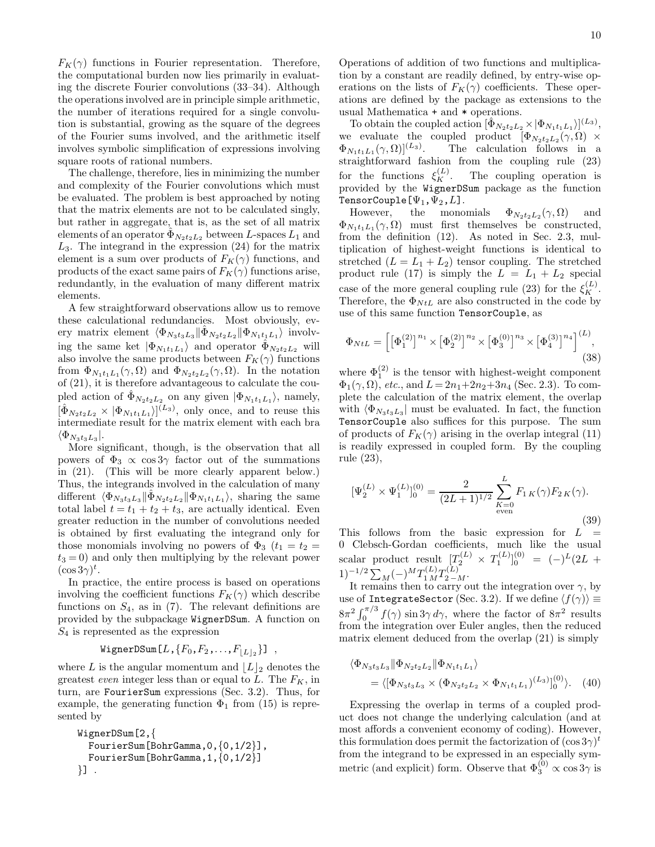$F_K(\gamma)$  functions in Fourier representation. Therefore, the computational burden now lies primarily in evaluating the discrete Fourier convolutions (33–34). Although the operations involved are in principle simple arithmetic, the number of iterations required for a single convolution is substantial, growing as the square of the degrees of the Fourier sums involved, and the arithmetic itself involves symbolic simplification of expressions involving square roots of rational numbers.

The challenge, therefore, lies in minimizing the number and complexity of the Fourier convolutions which must be evaluated. The problem is best approached by noting that the matrix elements are not to be calculated singly, but rather in aggregate, that is, as the set of all matrix elements of an operator  $\Phi_{N_2t_2L_2}$  between L-spaces  $L_1$  and  $L_3$ . The integrand in the expression (24) for the matrix element is a sum over products of  $F_K(\gamma)$  functions, and products of the exact same pairs of  $F_K(\gamma)$  functions arise, redundantly, in the evaluation of many different matrix elements.

A few straightforward observations allow us to remove these calculational redundancies. Most obviously, every matrix element  $\langle \Phi_{N_3t_3L_3} \| \hat{\Phi}_{N_2t_2L_2} \| \Phi_{N_1t_1L_1} \rangle$  involving the same ket  $|\Phi_{N_1t_1L_1}\rangle$  and operator  $\hat{\Phi}_{N_2t_2L_2}$  will also involve the same products between  $F_K(\gamma)$  functions from  $\Phi_{N_1t_1L_1}(\gamma,\Omega)$  and  $\Phi_{N_2t_2L_2}(\gamma,\Omega)$ . In the notation of (21), it is therefore advantageous to calculate the coupled action of  $\hat{\Phi}_{N_2t_2L_2}$  on any given  $|\Phi_{N_1t_1L_1}\rangle$ , namely,  $\left[ \hat{\Phi}_{N_2t_2L_2} \times |\Phi_{N_1t_1L_1} \rangle \right]^{(L_3)}$ , only once, and to reuse this intermediate result for the matrix element with each bra  $\langle \Phi_{N_3t_3L_3} |.$ 

More significant, though, is the observation that all powers of  $\Phi_3 \propto \cos 3\gamma$  factor out of the summations in (21). (This will be more clearly apparent below.) Thus, the integrands involved in the calculation of many different  $\langle \Phi_{N_3t_3L_3} \| \hat{\Phi}_{N_2t_2L_2} \| \Phi_{N_1t_1L_1} \rangle$ , sharing the same total label  $t = t_1 + t_2 + t_3$ , are actually identical. Even greater reduction in the number of convolutions needed is obtained by first evaluating the integrand only for those monomials involving no powers of  $\Phi_3$  ( $t_1 = t_2$  =  $t_3 = 0$ ) and only then multiplying by the relevant power  $(\cos 3\gamma)^t$ .

In practice, the entire process is based on operations involving the coefficient functions  $F_K(\gamma)$  which describe functions on  $S_4$ , as in (7). The relevant definitions are provided by the subpackage WignerDSum. A function on  $S_4$  is represented as the expression

# $\mathtt{WignerDSum}\left[L\,,\{F_0,F_2\,,\ldots,F_{\lfloor L\rfloor_2}\}\right]\, \ ,$

where L is the angular momentum and  $\lfloor L \rfloor_2$  denotes the greatest even integer less than or equal to L. The  $F_K$ , in turn, are FourierSum expressions (Sec. 3.2). Thus, for example, the generating function  $\Phi_1$  from (15) is represented by

```
WignerDSum[2,{
  FourierSum[BohrGamma,0,{0,1/2}],
  FourierSum[BohrGamma,1,{0,1/2}]
\}] .
```
Operations of addition of two functions and multiplication by a constant are readily defined, by entry-wise operations on the lists of  $F_K(\gamma)$  coefficients. These operations are defined by the package as extensions to the usual Mathematica + and \* operations.

To obtain the coupled action  $[\hat{\Phi}_{N_2t_2L_2} \times |\Phi_{N_1t_1L_1}\rangle]^{(L_3)}$ , we evaluate the coupled product  $[\Phi_{N_2t_2L_2}(\gamma,\Omega) \times$  $\Phi_{N_1t_1L_1}(\gamma,\Omega)]^{(L_3)}$ . The calculation follows in a straightforward fashion from the coupling rule (23) for the functions  $\xi_K^{(L)}$ The coupling operation is provided by the WignerDSum package as the function TensorCouple[ $\Psi_1, \Psi_2, L$ ].<br>However, the monon

However, the monomials  $\Phi_{N_2t_2L_2}(\gamma,\Omega)$  and  $\Phi_{N_1t_1L_1}(\gamma,\Omega)$  must first themselves be constructed, from the definition (12). As noted in Sec. 2.3, multiplication of highest-weight functions is identical to stretched  $(L = L_1 + L_2)$  tensor coupling. The stretched product rule (17) is simply the  $L = L_1 + L_2$  special case of the more general coupling rule (23) for the  $\xi_K^{(L)}$ . Therefore, the  $\Phi_{NtL}$  are also constructed in the code by use of this same function TensorCouple, as

$$
\Phi_{NtL} = \left[ \left[ \Phi_1^{(2)} \right]^{n_1} \times \left[ \Phi_2^{(2)} \right]^{n_2} \times \left[ \Phi_3^{(0)} \right]^{n_3} \times \left[ \Phi_4^{(3)} \right]^{n_4} \right]^{(L)},
$$
\n(38)

where  $\Phi_1^{(2)}$  is the tensor with highest-weight component  $\Phi_1(\gamma, \Omega)$ , etc., and  $L = 2n_1 + 2n_2 + 3n_4$  (Sec. 2.3). To complete the calculation of the matrix element, the overlap with  $\langle \Phi_{N_3t_3L_3} |$  must be evaluated. In fact, the function TensorCouple also suffices for this purpose. The sum of products of  $F_K(\gamma)$  arising in the overlap integral (11) is readily expressed in coupled form. By the coupling rule (23),

$$
[\Psi_2^{(L)} \times \Psi_1^{(L)}]_0^{(0)} = \frac{2}{(2L+1)^{1/2}} \sum_{\substack{K=0 \text{even}}}^{L} F_{1K}(\gamma) F_{2K}(\gamma).
$$
\n(39)

This follows from the basic expression for  $L =$ 0 Clebsch-Gordan coefficients, much like the usual scalar product result  $[T_2^{(L)} \times T_1^{(L)}]_0^{(0)} = (-)^L (2L +$  $(1)^{-1/2} \sum_M (-)^M T_{1\,M}^{(L)} T_{2-M}^{(L)}.$ 

It remains then to carry out the integration over  $\gamma$ , by use of IntegrateSector (Sec. 3.2). If we define  $\langle f(\gamma) \rangle \equiv$  $8\pi^2 \int_0^{\pi/3} f(\gamma) \sin 3\gamma \, d\gamma$ , where the factor of  $8\pi^2$  results from the integration over Euler angles, then the reduced matrix element deduced from the overlap (21) is simply

$$
\langle \Phi_{N_3t_3L_3} \| \Phi_{N_2t_2L_2} \| \Phi_{N_1t_1L_1} \rangle
$$
  
= 
$$
\langle [\Phi_{N_3t_3L_3} \times (\Phi_{N_2t_2L_2} \times \Phi_{N_1t_1L_1})^{(L_3)}]_0^{(0)} \rangle.
$$
 (40)

Expressing the overlap in terms of a coupled product does not change the underlying calculation (and at most affords a convenient economy of coding). However, this formulation does permit the factorization of  $(\cos 3\gamma)^t$ from the integrand to be expressed in an especially symmetric (and explicit) form. Observe that  $\Phi_3^{(0)} \propto \cos 3\gamma$  is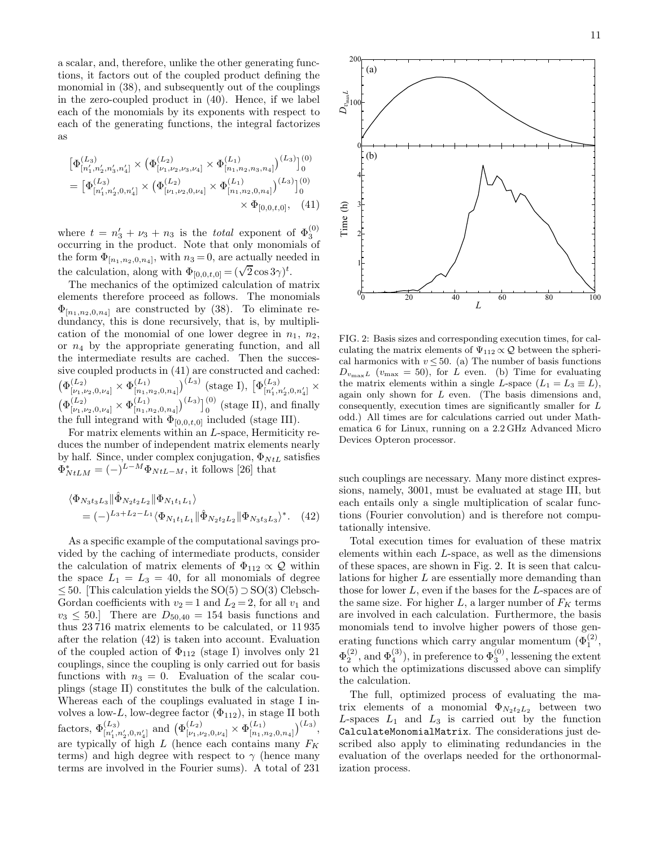a scalar, and, therefore, unlike the other generating functions, it factors out of the coupled product defining the monomial in (38), and subsequently out of the couplings in the zero-coupled product in (40). Hence, if we label each of the monomials by its exponents with respect to each of the generating functions, the integral factorizes as

$$
\begin{aligned} \left[\Phi^{(L_3)}_{[n'_1,n'_2,n'_3,n'_4]} \times \left(\Phi^{(L_2)}_{[\nu_1,\nu_2,\nu_3,\nu_4]} \times \Phi^{(L_1)}_{[n_1,n_2,n_3,n_4]}\right)^{(L_3)}\right]_0^{(0)} \\ = \left[\Phi^{(L_3)}_{[n'_1,n'_2,0,n'_4]} \times \left(\Phi^{(L_2)}_{[\nu_1,\nu_2,0,\nu_4]} \times \Phi^{(L_1)}_{[n_1,n_2,0,n_4]}\right)^{(L_3)}\right]_0^{(0)} \\ &\times \Phi_{[0,0,t,0]}, \quad (41) \end{aligned}
$$

where  $t = n'_3 + \nu_3 + n_3$  is the *total* exponent of  $\Phi_3^{(0)}$ occurring in the product. Note that only monomials of the form  $\Phi_{[n_1,n_2,0,n_4]}$ , with  $n_3=0$ , are actually needed in the calculation, along with  $\Phi_{[0,0,t,0]} = (\sqrt{2} \cos 3\gamma)^t$ .

The mechanics of the optimized calculation of matrix elements therefore proceed as follows. The monomials  $\Phi_{[n_1,n_2,0,n_4]}$  are constructed by (38). To eliminate redundancy, this is done recursively, that is, by multiplication of the monomial of one lower degree in  $n_1$ ,  $n_2$ , or  $n_4$  by the appropriate generating function, and all the intermediate results are cached. Then the successive coupled products in (41) are constructed and cached:  $\big(\Phi^{(L_2)}_{[\nu_1,\nu_2,0,\nu_4]}\times\Phi^{(L_1)}_{[n_1,r]}$  $\binom{(L_1)}{[n_1,n_2,0,n_4]}^{(L_3)}$  (stage I),  $\left[\Phi^{(L_3)}_{[n'_1,n'_2,0,n'_4]}\right]$   $\times$  $\big(\Phi^{(L_2)}_{[\nu_1,\nu_2,0,\nu_4]}\times \Phi^{(L_1)}_{[n_1,n]}$  $\binom{(L_1)}{[n_1,n_2,0,n_4]}^{(L_3)}$   $\binom{(0)}{0}$  (stage II), and finally the full integrand with  $\Phi_{[0,0,t,0]}$  included (stage III).

For matrix elements within an L-space, Hermiticity reduces the number of independent matrix elements nearly by half. Since, under complex conjugation,  $\Phi_{NtL}$  satisfies  $\Phi_{NtLM}^* = (-)^{L-M} \Phi_{NtL-M}$ , it follows [26] that

$$
\langle \Phi_{N_3 t_3 L_3} \| \hat{\Phi}_{N_2 t_2 L_2} \| \Phi_{N_1 t_1 L_1} \rangle
$$
  
=  $(-)^{L_3 + L_2 - L_1} \langle \Phi_{N_1 t_1 L_1} \| \hat{\Phi}_{N_2 t_2 L_2} \| \Phi_{N_3 t_3 L_3} \rangle^*$ . (42)

As a specific example of the computational savings provided by the caching of intermediate products, consider the calculation of matrix elements of  $\Phi_{112} \propto \mathcal{Q}$  within the space  $L_1 = L_3 = 40$ , for all monomials of degree ≤ 50. [This calculation yields the SO(5) ⊃ SO(3) Clebsch-Gordan coefficients with  $v_2 = 1$  and  $L_2 = 2$ , for all  $v_1$  and  $v_3 \leq 50$ . There are  $D_{50,40} = 154$  basis functions and thus 23 716 matrix elements to be calculated, or 11 935 after the relation (42) is taken into account. Evaluation of the coupled action of  $\Phi_{112}$  (stage I) involves only 21 couplings, since the coupling is only carried out for basis functions with  $n_3 = 0$ . Evaluation of the scalar couplings (stage II) constitutes the bulk of the calculation. Whereas each of the couplings evaluated in stage I involves a low-L, low-degree factor  $(\Phi_{112})$ , in stage II both factors,  $\Phi_{[n'_1,n'_2,0,n'_4]}^{(L_3)}$  and  $(\Phi_{[\nu_1,\nu_2,0,\nu_4]}^{(L_2)} \times \Phi_{[n_1,n'_2,0,n'_4]}^{(L_1)}$  $(L_1)$ <br>  $[n_1, n_2, 0, n_4]$ <sup> $(L_3)$ </sup>, are typically of high L (hence each contains many  $F_K$ terms) and high degree with respect to  $\gamma$  (hence many terms are involved in the Fourier sums). A total of 231



FIG. 2: Basis sizes and corresponding execution times, for calculating the matrix elements of  $\Psi_{112} \propto Q$  between the spherical harmonics with  $v \leq 50$ . (a) The number of basis functions  $D_{v_{\text{max}}L}$  ( $v_{\text{max}} = 50$ ), for L even. (b) Time for evaluating the matrix elements within a single L-space  $(L_1 = L_3 \equiv L)$ , again only shown for  $L$  even. (The basis dimensions and, consequently, execution times are significantly smaller for L odd.) All times are for calculations carried out under Mathematica 6 for Linux, running on a 2.2 GHz Advanced Micro Devices Opteron processor.

such couplings are necessary. Many more distinct expressions, namely, 3001, must be evaluated at stage III, but each entails only a single multiplication of scalar functions (Fourier convolution) and is therefore not computationally intensive.

Total execution times for evaluation of these matrix elements within each L-space, as well as the dimensions of these spaces, are shown in Fig. 2. It is seen that calculations for higher L are essentially more demanding than those for lower L, even if the bases for the L-spaces are of the same size. For higher L, a larger number of  $F_K$  terms are involved in each calculation. Furthermore, the basis monomials tend to involve higher powers of those generating functions which carry angular momentum  $(\Phi_1^{(2)},$  $\Phi_2^{(2)}$ , and  $\Phi_4^{(3)}$ ), in preference to  $\Phi_3^{(0)}$ , lessening the extent to which the optimizations discussed above can simplify the calculation.

The full, optimized process of evaluating the matrix elements of a monomial  $\Phi_{N_2t_2L_2}$  between two L-spaces  $L_1$  and  $L_3$  is carried out by the function CalculateMonomialMatrix. The considerations just described also apply to eliminating redundancies in the evaluation of the overlaps needed for the orthonormalization process.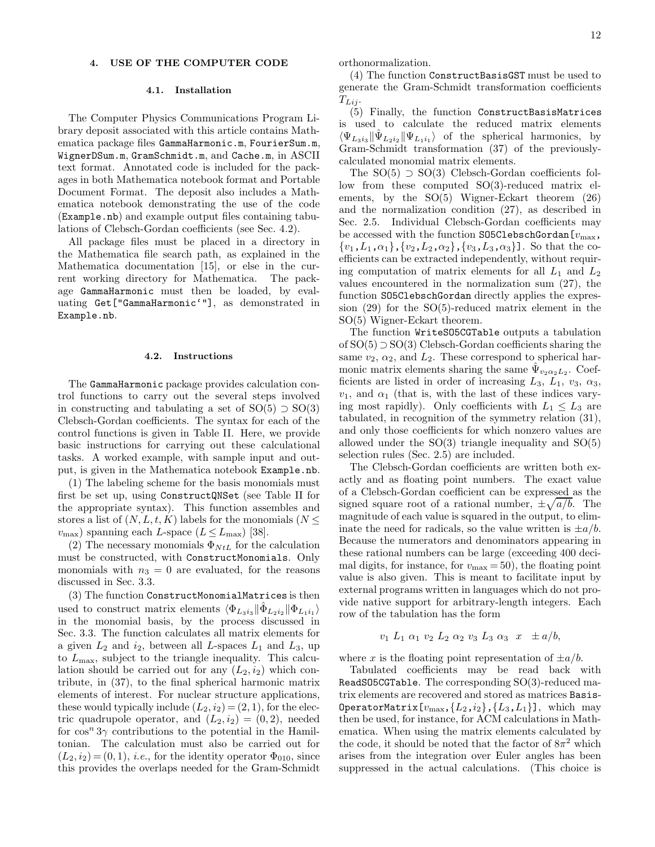## 4.1. Installation

The Computer Physics Communications Program Library deposit associated with this article contains Mathematica package files GammaHarmonic.m, FourierSum.m, WignerDSum.m, GramSchmidt.m, and Cache.m, in ASCII text format. Annotated code is included for the packages in both Mathematica notebook format and Portable Document Format. The deposit also includes a Mathematica notebook demonstrating the use of the code (Example.nb) and example output files containing tabulations of Clebsch-Gordan coefficients (see Sec. 4.2).

All package files must be placed in a directory in the Mathematica file search path, as explained in the Mathematica documentation [15], or else in the current working directory for Mathematica. The package GammaHarmonic must then be loaded, by evaluating Get["GammaHarmonic'"], as demonstrated in Example.nb.

## 4.2. Instructions

The GammaHarmonic package provides calculation control functions to carry out the several steps involved in constructing and tabulating a set of  $SO(5) \supset SO(3)$ Clebsch-Gordan coefficients. The syntax for each of the control functions is given in Table II. Here, we provide basic instructions for carrying out these calculational tasks. A worked example, with sample input and output, is given in the Mathematica notebook Example.nb.

(1) The labeling scheme for the basis monomials must first be set up, using ConstructQNSet (see Table II for the appropriate syntax). This function assembles and stores a list of  $(N, L, t, K)$  labels for the monomials  $(N \leq$  $v_{\text{max}}$ ) spanning each L-space ( $L \le L_{\text{max}}$ ) [38].

(2) The necessary monomials  $\Phi_{NtL}$  for the calculation must be constructed, with ConstructMonomials. Only monomials with  $n_3 = 0$  are evaluated, for the reasons discussed in Sec. 3.3.

(3) The function ConstructMonomialMatrices is then used to construct matrix elements  $\langle \Phi_{L_3i_3} | \hat{\Phi}_{L_2i_2} | \Phi_{L_1i_1} \rangle$ in the monomial basis, by the process discussed in Sec. 3.3. The function calculates all matrix elements for a given  $L_2$  and  $i_2$ , between all L-spaces  $L_1$  and  $L_3$ , up to  $L_{\text{max}}$ , subject to the triangle inequality. This calculation should be carried out for any  $(L_2, i_2)$  which contribute, in (37), to the final spherical harmonic matrix elements of interest. For nuclear structure applications, these would typically include  $(L_2, i_2) = (2, 1)$ , for the electric quadrupole operator, and  $(L_2, i_2) = (0, 2)$ , needed for  $\cos^n 3\gamma$  contributions to the potential in the Hamiltonian. The calculation must also be carried out for  $(L_2, i_2) = (0, 1)$ , *i.e.*, for the identity operator  $\Phi_{010}$ , since this provides the overlaps needed for the Gram-Schmidt

orthonormalization.

(4) The function ConstructBasisGST must be used to generate the Gram-Schmidt transformation coefficients  $T_{Lij}$ .

(5) Finally, the function ConstructBasisMatrices is used to calculate the reduced matrix elements  $\langle \Psi_{L_3i_3} \Vert \hat{\Psi}_{L_2i_2} \Vert \Psi_{L_1i_1} \rangle$  of the spherical harmonics, by Gram-Schmidt transformation (37) of the previouslycalculated monomial matrix elements.

The  $SO(5) \supset SO(3)$  Clebsch-Gordan coefficients follow from these computed SO(3)-reduced matrix elements, by the SO(5) Wigner-Eckart theorem (26) and the normalization condition (27), as described in Sec. 2.5. Individual Clebsch-Gordan coefficients may be accessed with the function S05C1ebschGordan $[v_{\rm max},$  ${v_1, L_1, \alpha_1}, {v_2, L_2, \alpha_2}, {v_3, L_3, \alpha_3}.$  So that the coefficients can be extracted independently, without requiring computation of matrix elements for all  $L_1$  and  $L_2$ values encountered in the normalization sum (27), the function SO5ClebschGordan directly applies the expression (29) for the SO(5)-reduced matrix element in the SO(5) Wigner-Eckart theorem.

The function WriteSO5CGTable outputs a tabulation of SO(5) ⊃ SO(3) Clebsch-Gordan coefficients sharing the same  $v_2$ ,  $\alpha_2$ , and  $L_2$ . These correspond to spherical harmonic matrix elements sharing the same  $\hat{\Psi}_{v_2 \alpha_2 L_2}$ . Coefficients are listed in order of increasing  $L_3$ ,  $L_1$ ,  $v_3$ ,  $\alpha_3$ ,  $v_1$ , and  $\alpha_1$  (that is, with the last of these indices varying most rapidly). Only coefficients with  $L_1 \leq L_3$  are tabulated, in recognition of the symmetry relation (31), and only those coefficients for which nonzero values are allowed under the  $SO(3)$  triangle inequality and  $SO(5)$ selection rules (Sec. 2.5) are included.

The Clebsch-Gordan coefficients are written both exactly and as floating point numbers. The exact value of a Clebsch-Gordan coefficient can be expressed as the signed square root of a rational number,  $\pm \sqrt{a/b}$ . The magnitude of each value is squared in the output, to eliminate the need for radicals, so the value written is  $\pm a/b$ . Because the numerators and denominators appearing in these rational numbers can be large (exceeding 400 decimal digits, for instance, for  $v_{\text{max}} = 50$ , the floating point value is also given. This is meant to facilitate input by external programs written in languages which do not provide native support for arbitrary-length integers. Each row of the tabulation has the form

$$
v_1 L_1 \alpha_1 v_2 L_2 \alpha_2 v_3 L_3 \alpha_3 x \pm a/b,
$$

where x is the floating point representation of  $\pm a/b$ .

Tabulated coefficients may be read back with ReadSO5CGTable. The corresponding  $SO(3)$ -reduced matrix elements are recovered and stored as matrices Basis-OperatorMatrix $[v_{\text{max}},\{L_2,i_2\},\{L_3,L_1\}]$ , which may then be used, for instance, for ACM calculations in Mathematica. When using the matrix elements calculated by the code, it should be noted that the factor of  $8\pi^2$  which arises from the integration over Euler angles has been suppressed in the actual calculations. (This choice is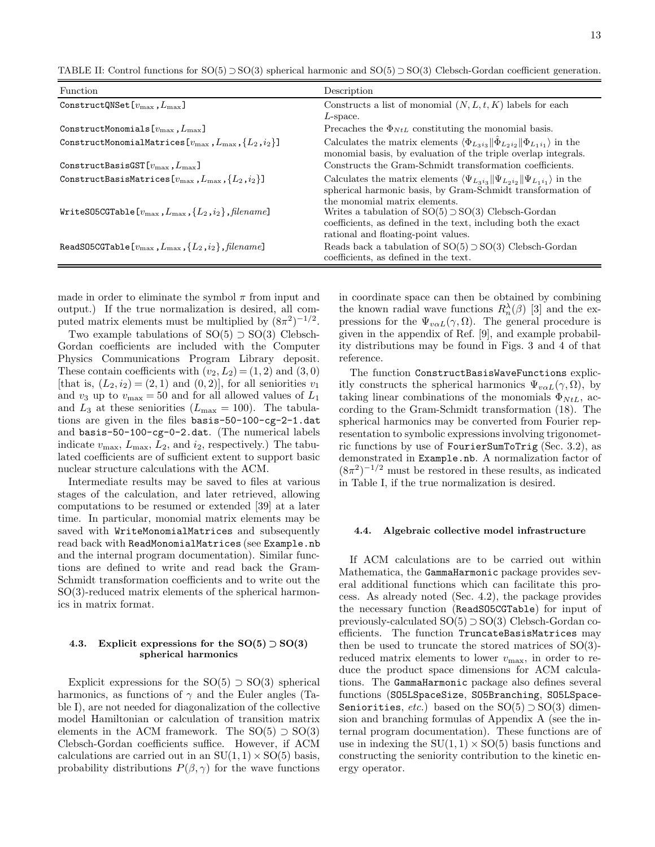TABLE II: Control functions for SO(5) ⊃ SO(3) spherical harmonic and SO(5) ⊃ SO(3) Clebsch-Gordan coefficient generation.

| Function                                                                                    | Description                                                                                                                                                                                           |
|---------------------------------------------------------------------------------------------|-------------------------------------------------------------------------------------------------------------------------------------------------------------------------------------------------------|
| ConstructQNSet $[v_{\rm max}, L_{\rm max}]$                                                 | Constructs a list of monomial $(N, L, t, K)$ labels for each<br>$L$ -space.                                                                                                                           |
| ConstructMonomials $[v_{\max}, L_{\max}]$                                                   | Precaches the $\Phi_{NtL}$ constituting the monomial basis.                                                                                                                                           |
| ConstructMonomialMatrices[ $v_{\text{max}}$ , $L_{\text{max}}$ , $\{L_2, i_2\}$ ]           | Calculates the matrix elements $\langle \Phi_{L_3i_3}   \hat{\Phi}_{L_2i_2}   \Phi_{L_1i_1} \rangle$ in the<br>monomial basis, by evaluation of the triple overlap integrals.                         |
| ConstructBasisGST $[v_{\text{max}}, L_{\text{max}}]$                                        | Constructs the Gram-Schmidt transformation coefficients.                                                                                                                                              |
| ConstructBasisMatrices[ $v_{\text{max}}$ , $L_{\text{max}}$ , $\{L_2, i_2\}$ ]              | Calculates the matrix elements $\langle \Psi_{L_3i_3}   \Psi_{L_2i_2}   \Psi_{L_1i_1} \rangle$ in the<br>spherical harmonic basis, by Gram-Schmidt transformation of<br>the monomial matrix elements. |
| WriteS05CGTable[ $v_{\text{max}}$ , $L_{\text{max}}$ , $\{L_2, i_2\}$ , $\text{filename}$ ] | Writes a tabulation of $SO(5) \supset SO(3)$ Clebsch-Gordan<br>coefficients, as defined in the text, including both the exact<br>rational and floating-point values.                                  |
| ReadS05CGTable $[v_{\max}, L_{\max}, \{L_2, i_2\},$ filename]                               | Reads back a tabulation of $SO(5) \supset SO(3)$ Clebsch-Gordan<br>coefficients, as defined in the text.                                                                                              |

made in order to eliminate the symbol  $\pi$  from input and output.) If the true normalization is desired, all computed matrix elements must be multiplied by  $(8\pi^2)^{-1/2}$ .

Two example tabulations of  $SO(5) \supset SO(3)$  Clebsch-Gordan coefficients are included with the Computer Physics Communications Program Library deposit. These contain coefficients with  $(v_2, L_2) = (1, 2)$  and  $(3, 0)$ [that is,  $(L_2, i_2) = (2, 1)$  and  $(0, 2)$ ], for all seniorities  $v_1$ and  $v_3$  up to  $v_{\text{max}} = 50$  and for all allowed values of  $L_1$ and  $L_3$  at these seniorities  $(L_{\text{max}} = 100)$ . The tabulations are given in the files basis-50-100-cg-2-1.dat and basis-50-100-cg-0-2.dat. (The numerical labels indicate  $v_{\text{max}}$ ,  $L_{\text{max}}$ ,  $L_2$ , and  $i_2$ , respectively.) The tabulated coefficients are of sufficient extent to support basic nuclear structure calculations with the ACM.

Intermediate results may be saved to files at various stages of the calculation, and later retrieved, allowing computations to be resumed or extended [39] at a later time. In particular, monomial matrix elements may be saved with WriteMonomialMatrices and subsequently read back with ReadMonomialMatrices (see Example.nb and the internal program documentation). Similar functions are defined to write and read back the Gram-Schmidt transformation coefficients and to write out the SO(3)-reduced matrix elements of the spherical harmonics in matrix format.

# 4.3. Explicit expressions for the  $SO(5) \supset SO(3)$ spherical harmonics

Explicit expressions for the  $SO(5) \supset SO(3)$  spherical harmonics, as functions of  $\gamma$  and the Euler angles (Table I), are not needed for diagonalization of the collective model Hamiltonian or calculation of transition matrix elements in the ACM framework. The  $SO(5) \supset SO(3)$ Clebsch-Gordan coefficients suffice. However, if ACM calculations are carried out in an  $SU(1,1) \times SO(5)$  basis, probability distributions  $P(\beta, \gamma)$  for the wave functions

in coordinate space can then be obtained by combining the known radial wave functions  $R_n^{\lambda}(\beta)$  [3] and the expressions for the  $\Psi_{v\alpha L}(\gamma, \Omega)$ . The general procedure is given in the appendix of Ref. [9], and example probability distributions may be found in Figs. 3 and 4 of that reference.

The function ConstructBasisWaveFunctions explicitly constructs the spherical harmonics  $\Psi_{v\alpha L}(\gamma, \Omega)$ , by taking linear combinations of the monomials  $\Phi_{NtL}$ , according to the Gram-Schmidt transformation (18). The spherical harmonics may be converted from Fourier representation to symbolic expressions involving trigonometric functions by use of FourierSumToTrig (Sec. 3.2), as demonstrated in Example.nb. A normalization factor of  $(8\pi^2)^{-1/2}$  must be restored in these results, as indicated in Table I, if the true normalization is desired.

## 4.4. Algebraic collective model infrastructure

If ACM calculations are to be carried out within Mathematica, the GammaHarmonic package provides several additional functions which can facilitate this process. As already noted (Sec. 4.2), the package provides the necessary function (ReadSO5CGTable) for input of previously-calculated SO(5) ⊃ SO(3) Clebsch-Gordan coefficients. The function TruncateBasisMatrices may then be used to truncate the stored matrices of SO(3) reduced matrix elements to lower  $v_{\text{max}}$ , in order to reduce the product space dimensions for ACM calculations. The GammaHarmonic package also defines several functions (SO5LSpaceSize, SO5Branching, SO5LSpace-Seniorities, etc.) based on the  $SO(5) \supset SO(3)$  dimension and branching formulas of Appendix A (see the internal program documentation). These functions are of use in indexing the  $SU(1,1) \times SO(5)$  basis functions and constructing the seniority contribution to the kinetic energy operator.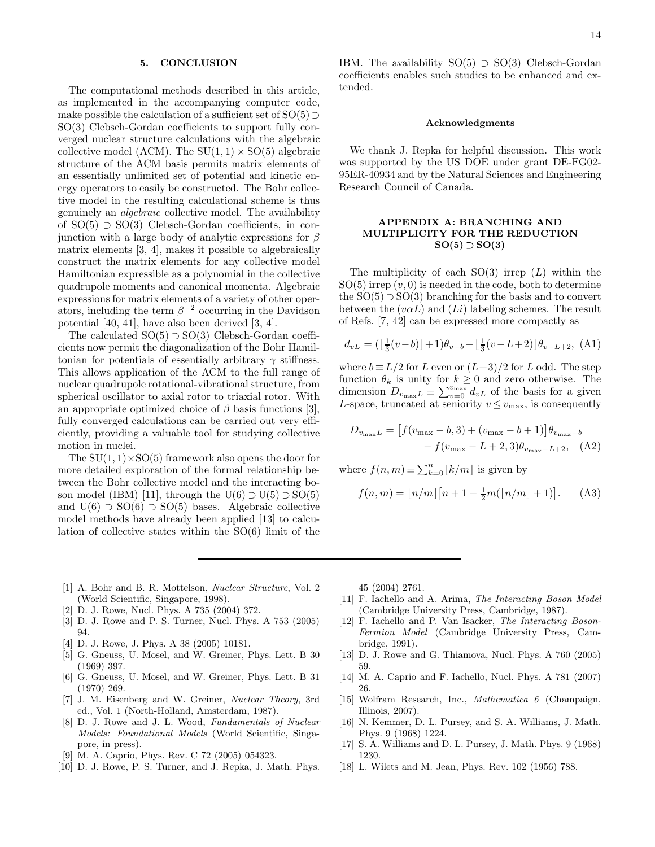### 5. CONCLUSION

The computational methods described in this article, as implemented in the accompanying computer code, make possible the calculation of a sufficient set of  $SO(5)$ SO(3) Clebsch-Gordan coefficients to support fully converged nuclear structure calculations with the algebraic collective model (ACM). The  $SU(1,1) \times SO(5)$  algebraic structure of the ACM basis permits matrix elements of an essentially unlimited set of potential and kinetic energy operators to easily be constructed. The Bohr collective model in the resulting calculational scheme is thus genuinely an algebraic collective model. The availability of SO(5) ⊃ SO(3) Clebsch-Gordan coefficients, in conjunction with a large body of analytic expressions for  $\beta$ matrix elements [3, 4], makes it possible to algebraically construct the matrix elements for any collective model Hamiltonian expressible as a polynomial in the collective quadrupole moments and canonical momenta. Algebraic expressions for matrix elements of a variety of other operators, including the term  $\beta^{-2}$  occurring in the Davidson potential [40, 41], have also been derived [3, 4].

The calculated  $SO(5) \supset SO(3)$  Clebsch-Gordan coefficients now permit the diagonalization of the Bohr Hamiltonian for potentials of essentially arbitrary  $\gamma$  stiffness. This allows application of the ACM to the full range of nuclear quadrupole rotational-vibrational structure, from spherical oscillator to axial rotor to triaxial rotor. With an appropriate optimized choice of  $\beta$  basis functions [3], fully converged calculations can be carried out very efficiently, providing a valuable tool for studying collective motion in nuclei.

The  $SU(1,1)\times SO(5)$  framework also opens the door for more detailed exploration of the formal relationship between the Bohr collective model and the interacting boson model (IBM) [11], through the U(6)  $\supset U(5) \supset SO(5)$ and  $U(6) \supset SO(6) \supset SO(5)$  bases. Algebraic collective model methods have already been applied [13] to calculation of collective states within the SO(6) limit of the

IBM. The availability  $SO(5) \supset SO(3)$  Clebsch-Gordan coefficients enables such studies to be enhanced and extended.

## Acknowledgments

We thank J. Repka for helpful discussion. This work was supported by the US DOE under grant DE-FG02- 95ER-40934 and by the Natural Sciences and Engineering Research Council of Canada.

# APPENDIX A: BRANCHING AND MULTIPLICITY FOR THE REDUCTION  $SO(5)$  ⊃  $SO(3)$

The multiplicity of each  $SO(3)$  irrep  $(L)$  within the  $SO(5)$  irrep  $(v, 0)$  is needed in the code, both to determine the  $SO(5) \supset SO(3)$  branching for the basis and to convert between the  $(v\alpha L)$  and  $(Li)$  labeling schemes. The result of Refs. [7, 42] can be expressed more compactly as

$$
d_{vL} = (\lfloor \frac{1}{3}(v-b) \rfloor + 1)\theta_{v-b} - \lfloor \frac{1}{3}(v-L+2) \rfloor \theta_{v-L+2}, \text{ (A1)}
$$

where  $b = L/2$  for L even or  $(L+3)/2$  for L odd. The step function  $\theta_k$  is unity for  $k \geq 0$  and zero otherwise. The dimension  $D_{v_{\text{max}}L} \equiv \sum_{v=0}^{v_{\text{max}}} d_{vL}$  of the basis for a given L-space, truncated at seniority  $v \leq v_{\text{max}}$ , is consequently

$$
D_{v_{\text{max}}L} = [f(v_{\text{max}} - b, 3) + (v_{\text{max}} - b + 1)]\theta_{v_{\text{max}} - b}
$$
  
-  $f(v_{\text{max}} - L + 2, 3)\theta_{v_{\text{max}} - L + 2}$ , (A2)

where  $f(n, m) \equiv \sum_{k=0}^{n} \lfloor k/m \rfloor$  is given by

$$
f(n,m) = \lfloor n/m \rfloor [n+1 - \frac{1}{2}m(\lfloor n/m \rfloor + 1)].
$$
 (A3)

- [1] A. Bohr and B. R. Mottelson, *Nuclear Structure*, Vol. 2 (World Scientific, Singapore, 1998).
- [2] D. J. Rowe, Nucl. Phys. A 735 (2004) 372.
- [3] D. J. Rowe and P. S. Turner, Nucl. Phys. A 753 (2005) 94.
- [4] D. J. Rowe, J. Phys. A 38 (2005) 10181.
- [5] G. Gneuss, U. Mosel, and W. Greiner, Phys. Lett. B 30 (1969) 397.
- [6] G. Gneuss, U. Mosel, and W. Greiner, Phys. Lett. B 31 (1970) 269.
- [7] J. M. Eisenberg and W. Greiner, *Nuclear Theory*, 3rd ed., Vol. 1 (North-Holland, Amsterdam, 1987).
- [8] D. J. Rowe and J. L. Wood, *Fundamentals of Nuclear Models: Foundational Models* (World Scientific, Singapore, in press).
- [9] M. A. Caprio, Phys. Rev. C 72 (2005) 054323.
- [10] D. J. Rowe, P. S. Turner, and J. Repka, J. Math. Phys.

45 (2004) 2761.

- [11] F. Iachello and A. Arima, *The Interacting Boson Model* (Cambridge University Press, Cambridge, 1987).
- [12] F. Iachello and P. Van Isacker, *The Interacting Boson-Fermion Model* (Cambridge University Press, Cambridge, 1991).
- [13] D. J. Rowe and G. Thiamova, Nucl. Phys. A 760 (2005) 59.
- [14] M. A. Caprio and F. Iachello, Nucl. Phys. A 781 (2007) 26.
- [15] Wolfram Research, Inc., *Mathematica 6* (Champaign, Illinois, 2007).
- [16] N. Kemmer, D. L. Pursey, and S. A. Williams, J. Math. Phys. 9 (1968) 1224.
- [17] S. A. Williams and D. L. Pursey, J. Math. Phys. 9 (1968) 1230.
- [18] L. Wilets and M. Jean, Phys. Rev. 102 (1956) 788.